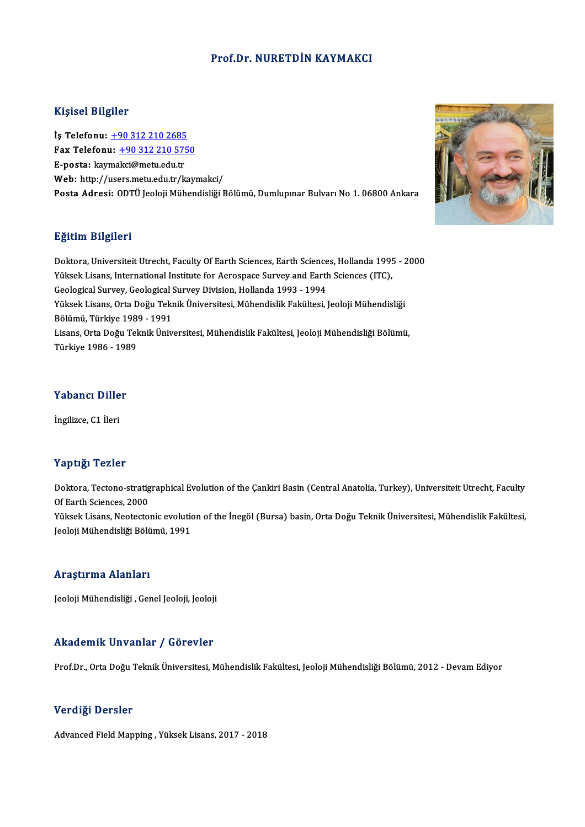#### Prof.Dr. NURETDİN KAYMAKCI

#### Kişisel Bilgiler

Kişisel Bilgiler<br>İş Telefonu: <u>+90 312 210 2685</u><br>Fax Telefonu: +90 212 210 575 Fax Telefonu: +90 312 210 5750<br>E-posta: kaymakci@metu.edu.tr İş Telefonu: <u>+90 312 210 2685</u><br>Fax Telefonu: <u>+90 312 210 57!</u><br>E-posta: kay[ma](tel:+90 312 210 2685)[kci@metu.edu.tr](tel:+90 312 210 5750)<br>Web: http://users.metu.edu.tr Web: http://users.metu.edu.tr/kaymakci/ Posta Adresi: ODTÜ Jeoloji Mühendisliği Bölümü, Dumlupınar Bulvarı No 1.06800 Ankara

#### Eğitim Bilgileri

Eğitim Bilgileri<br>Doktora, Universiteit Utrecht, Faculty Of Earth Sciences, Earth Sciences, Hollanda 1995 - 2000<br>Yüksek Lisens, International Institute for Aspeanese Survey and Earth Sciences (ITC) Brenn-Brigher<br>Doktora, Universiteit Utrecht, Faculty Of Earth Sciences, Earth Sciences, Hollanda 1995<br>Yüksek Lisans, International Institute for Aerospace Survey and Earth Sciences (ITC),<br>Cealagiaal Survey, Cealagiaal Surv Yüksek Lisans, International Institute for Aerospace Survey and Earth Sciences (ITC), Geological Survey, Geological Survey Division, Hollanda 1993 - 1994 Yüksek Lisans, International Institute for Aerospace Survey and Earth Sciences (ITC),<br>Geological Survey, Geological Survey Division, Hollanda 1993 - 1994<br>Yüksek Lisans, Orta Doğu Teknik Üniversitesi, Mühendislik Fakültesi, Geological Survey, Geological S<br>Yüksek Lisans, Orta Doğu Tekı<br>Bölümü, Türkiye 1989 - 1991<br>Lisans, Orta Doğu Teknik Üniv Yüksek Lisans, Orta Doğu Teknik Üniversitesi, Mühendislik Fakültesi, Jeoloji Mühendisliği<br>Bölümü, Türkiye 1989 - 1991<br>Lisans, Orta Doğu Teknik Üniversitesi, Mühendislik Fakültesi, Jeoloji Mühendisliği Bölümü,<br>Türkiye 1986 Bölümü, Türkiye 1989 - 1991<br>Lisans, Orta Doğu Teknik Üniversitesi, Mühendislik Fakültesi, Jeoloji Mühendisliği Bölümü,<br>Türkiye 1986 - 1989

#### Yabancı Diller

İngilizce, C1 İleri

#### Yaptığı Tezler

**Yaptığı Tezler**<br>Doktora, Tectono-stratigraphical Evolution of the Çankiri Basin (Central Anatolia, Turkey), Universiteit Utrecht, Faculty<br>Of Farth Ssianses, 2000 Tup and<br>Doktora, Tectono-stratig<br>Of Earth Sciences, 2000<br>Viltook Lisans, Nostaste Of Earth Sciences, 2000<br>Yüksek Lisans, Neotectonic evolution of the İnegöl (Bursa) basin, Orta Doğu Teknik Üniversitesi, Mühendislik Fakültesi, Jeoloji Mühendisliği Bölümü, 1991

#### Araştırma Alanları

Jeoloji Mühendisliği , Genel Jeoloji, Jeoloji

#### Akademik Unvanlar / Görevler

Prof.Dr., Orta Doğu Teknik Üniversitesi, Mühendislik Fakültesi, Jeoloji Mühendisliği Bölümü, 2012 - Devam Ediyor

#### Verdiği Dersler

Advanced Field Mapping, Yüksek Lisans, 2017 - 2018

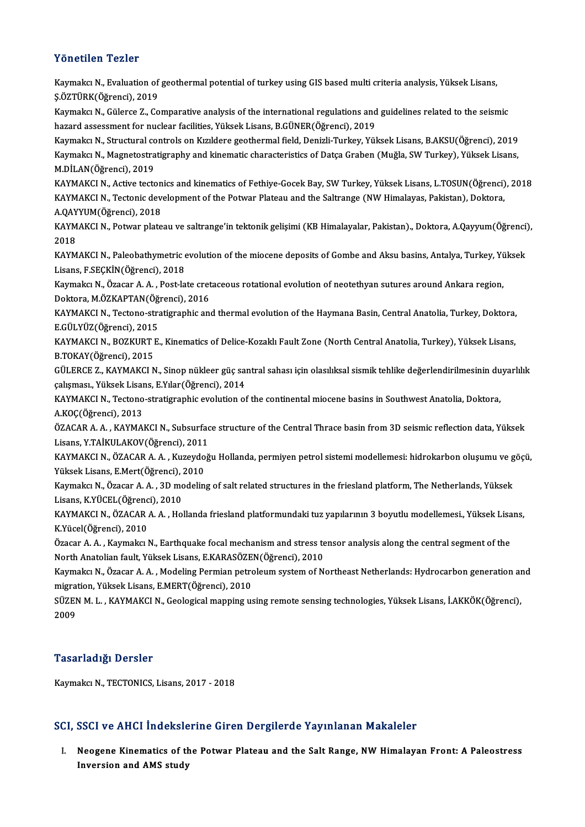#### Yönetilen Tezler

Yönetilen Tezler<br>Kaymakcı N., Evaluation of geothermal potential of turkey using GIS based multi criteria analysis, Yüksek Lisans,<br>S.ÖZTÜRK(Öğrensi), 2019 TOROCHUR TORU<br>Kaymakcı N., Evaluation of<br>Ş.ÖZTÜRK(Öğrenci), 2019<br>Kaymakçı N. Gülares 7, Co Kaymakcı N., Evaluation of geothermal potential of turkey using GIS based multi criteria analysis, Yüksek Lisans,<br>Ş.ÖZTÜRK(Öğrenci), 2019<br>Kaymakcı N., Gülerce Z., Comparative analysis of the international regulations and g Ş.ÖZTÜRK(Öğrenci), 2019<br>Kaymakcı N., Gülerce Z., Comparative analysis of the international regulations and<br>hazard assessment for nuclear facilities, Yüksek Lisans, B.GÜNER(Öğrenci), 2019<br>Kaymaka N., Structural santrols on Kaymakcı N., Gülerce Z., Comparative analysis of the international regulations and guidelines related to the seismic<br>hazard assessment for nuclear facilities, Yüksek Lisans, B.GÜNER(Öğrenci), 2019<br>Kaymakcı N., Structural c hazard assessment for nuclear facilities, Yüksek Lisans, B.GÜNER(Öğrenci), 2019<br>Kaymakcı N., Structural controls on Kızıldere geothermal field, Denizli-Turkey, Yüksek Lisans, B.AKSU(Öğrenci), 2019<br>Kaymakcı N., Magnetostrat Kaymakcı N., Structural co<br>Kaymakcı N., Magnetostra<br>M.DİLAN(Öğrenci), 2019<br>KAYMAKCI N., Astive tests M.DİLAN(Öğrenci), 2019<br>KAYMAKCI N., Active tectonics and kinematics of Fethiye-Gocek Bay, SW Turkey, Yüksek Lisans, L.TOSUN(Öğrenci), 2018 M.DİLAN(Öğrenci), 2019<br>KAYMAKCI N., Active tectonics and kinematics of Fethiye-Gocek Bay, SW Turkey, Yüksek Lisans, L.TOSUN(Öğrenci)<br>KAYMAKCI N., Tectonic development of the Potwar Plateau and the Saltrange (NW Himalayas, KAYMAKCI N., Active tecton<br>KAYMAKCI N., Tectonic dev<br>A.QAYYUM(Öğrenci), 2018<br>KAYMAKCI N., Botunr plate KAYMAKCI N., Tectonic development of the Potwar Plateau and the Saltrange (NW Himalayas, Pakistan), Doktora,<br>A.QAYYUM(Öğrenci), 2018<br>KAYMAKCI N., Potwar plateau ve saltrange'in tektonik gelişimi (KB Himalayalar, Pakistan). A.QAY<br>KAYM<br>2018<br>KAYM KAYMAKCI N., Potwar plateau ve saltrange'in tektonik gelişimi (KB Himalayalar, Pakistan)., Doktora, A.Qayyum(Öğrenci)<br>2018<br>KAYMAKCI N., Paleobathymetric evolution of the miocene deposits of Gombe and Aksu basins, Antalya, 2018<br>KAYMAKCI N., Paleobathymetric evolution of the miocene deposits of Gombe and Aksu basins, Antalya, Turkey, Yüksek<br>Lisans, F.SEÇKİN(Öğrenci), 2018 KAYMAKCI N., Paleobathymetric evolution of the miocene deposits of Gombe and Aksu basins, Antalya, Turkey, Yi<br>Lisans, F.SEÇKİN(Öğrenci), 2018<br>Kaymakcı N., Özacar A. A. , Post-late cretaceous rotational evolution of neoteth Lisans, F.SEÇKİN(Öğrenci), 2018<br>Kaymakcı N., Özacar A. A. , Post-late cret<br>Doktora, M.ÖZKAPTAN(Öğrenci), 2016<br>KAYMAKCLN, Testone stratisranbis anı Kaymakcı N., Özacar A. A. , Post-late cretaceous rotational evolution of neotethyan sutures around Ankara region,<br>Doktora, M.ÖZKAPTAN(Öğrenci), 2016<br>KAYMAKCI N., Tectono-stratigraphic and thermal evolution of the Haymana B Doktora, M.ÖZKAPTAN(Öğ<br>KAYMAKCI N., Tectono-stra<br>E.GÜLYÜZ(Öğrenci), 2015<br>KAYMAKCI N., BOZKUPT E KAYMAKCI N., Tectono-stratigraphic and thermal evolution of the Haymana Basin, Central Anatolia, Turkey, Doktora,<br>E.GÜLYÜZ(Öğrenci), 2015<br>KAYMAKCI N., BOZKURT E., Kinematics of Delice-Kozaklı Fault Zone (North Central Anat E.GÜLYÜZ(Öğrenci), 2015<br>KAYMAKCI N., BOZKURT I<br>B.TOKAY(Öğrenci), 2015<br>CÜLEDCE 7., KAYMAKÇI N KAYMAKCI N., BOZKURT E., Kinematics of Delice-Kozaklı Fault Zone (North Central Anatolia, Turkey), Yüksek Lisans,<br>B.TOKAY(Öğrenci), 2015<br>GÜLERCE Z., KAYMAKCI N., Sinop nükleer güç santral sahası için olasılıksal sismik teh B.TOKAY(Öğrenci), 2015<br>GÜLERCE Z., KAYMAKCI N., Sinop nükleer güç sai<br>çalışması., Yüksek Lisans, E.Yılar(Öğrenci), 2014<br>KAYMAKCI N., Testane stratisyanbiş evolution of GÜLERCE Z., KAYMAKCI N., Sinop nükleer güç santral sahası için olasılıksal sismik tehlike değerlendirilmesinin du<br>çalışması., Yüksek Lisans, E.Yılar(Öğrenci), 2014<br>KAYMAKCI N., Tectono-stratigraphic evolution of the contin çalışması., Yüksek Lisans, E.Yılar(Öğrenci), 2014<br>KAYMAKCI N., Tectono-stratigraphic evolution of the continental miocene basins in Southwest Anatolia, Doktora,<br>A.KOÇ(Öğrenci), 2013 KAYMAKCI N., Tectono-stratigraphic evolution of the continental miocene basins in Southwest Anatolia, Doktora,<br>A.KOÇ(Öğrenci), 2013<br>ÖZACAR A. A. , KAYMAKCI N., Subsurface structure of the Central Thrace basin from 3D seism A.KOÇ(Öğrenci), 2013<br>ÖZACAR A. A. , KAYMAKCI N., Subsurfac<br>Lisans, Y.TAİKULAKOV(Öğrenci), 2011<br>KAYMAKCI N., ÖZACAR A. A., Kurovdoğ ÖZACAR A. A. , KAYMAKCI N., Subsurface structure of the Central Thrace basin from 3D seismic reflection data, Yüksek<br>Lisans, Y.TAİKULAKOV(Öğrenci), 2011<br>KAYMAKCI N., ÖZACAR A. A. , Kuzeydoğu Hollanda, permiyen petrol siste Lisans, Y.TAİKULAKOV (Öğrenci), 2011<br>KAYMAKCI N., ÖZACAR A. A. , Kuzeydo<br>Yüksek Lisans, E.Mert(Öğrenci), 2010<br>Kaymakçı N., Özacar A. A., 3D modelin KAYMAKCI N., ÖZACAR A. A. , Kuzeydoğu Hollanda, permiyen petrol sistemi modellemesi: hidrokarbon oluşumu ve g<br>Yüksek Lisans, E.Mert(Öğrenci), 2010<br>Kaymakcı N., Özacar A. A. , 3D modeling of salt related structures in the f Yüksek Lisans, E.Mert(Öğrenci), <mark>:</mark><br>Kaymakcı N., Özacar A. A. , 3D mc<br>Lisans, K.YÜCEL(Öğrenci), 2010<br>KAYMAKCI N., ÖZACAR A. A., Ho Kaymakcı N., Özacar A. A. , 3D modeling of salt related structures in the friesland platform, The Netherlands, Yüksek<br>Lisans, K.YÜCEL(Öğrenci), 2010<br>KAYMAKCI N., ÖZACAR A. A. , Hollanda friesland platformundaki tuz yapılar Lisans, K.YÜCEL(Öğrenc<br>KAYMAKCI N., ÖZACAR<br>K.Yücel(Öğrenci), 2010<br>Özasar A. A., *Vaymaksı* I KAYMAKCI N., ÖZACAR A. A. , Hollanda friesland platformundaki tuz yapılarının 3 boyutlu modellemesi., Yüksek Lisa<br>K.Yücel(Öğrenci), 2010<br>Özacar A. A. , Kaymakcı N., Earthquake focal mechanism and stress tensor analysis alo K.Yücel(Öğrenci), 2010<br>Özacar A. A. , Kaymakcı N., Earthquake focal mechanism and stress tensor analysis along the central segment of the Özacar A. A. , Kaymakcı N., Earthquake focal mechanism and stress tensor analysis along the central segment of the<br>North Anatolian fault, Yüksek Lisans, E.KARASÖZEN(Öğrenci), 2010<br>Kaymakcı N., Özacar A. A. , Modeling Permi North Anatolian fault, Yüksek Lisans, E.KARASÖZEN(Öğrenci), 2010<br>Kaymakcı N., Özacar A. A. , Modeling Permian petroleum system of Northeast Netherlands: Hydrocarbon generation aı<br>migration, Yüksek Lisans, E.MERT(Öğrenci), Kaymakcı N., Özacar A. A. , Modeling Permian petroleum system of Northeast Netherlands: Hydrocarbon generation ar<br>migration, Yüksek Lisans, E.MERT(Öğrenci), 2010<br>SÜZEN M. L. , KAYMAKCI N., Geological mapping using remote s migration, Yüksek Lisans, E.MERT(Öğrenci), 2010<br>SÜZEN M. L. , KAYMAKCI N., Geological mapping u<br>2009

### Tasarladığı Dersler

Kaymakcı N., TECTONICS, Lisans, 2017 - 2018

### SCI, SSCI ve AHCI İndekslerine Giren Dergilerde Yayınlanan Makaleler

CI, SSCI ve AHCI İndekslerine Giren Dergilerde Yayınlanan Makaleler<br>I. Neogene Kinematics of the Potwar Plateau and the Salt Range, NW Himalayan Front: A Paleostress<br>Inversion and AMS study **Inversion and AMS**<br>Neogene Kinematics of the<br>Inversion and AMS study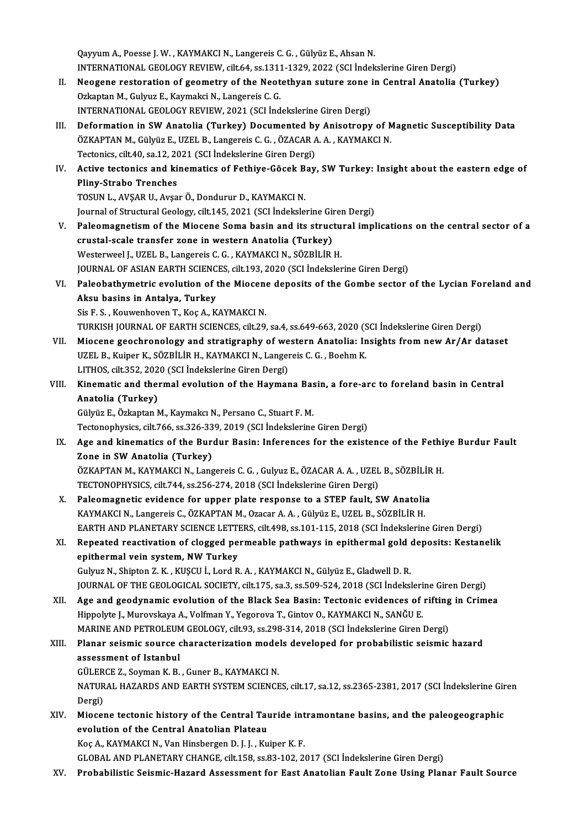Qayyum A., Poesse J. W., KAYMAKCI N., Langereis C. G., Gülyüz E., Ahsan N. Qayyum A., Poesse J. W. , KAYMAKCI N., Langereis C. G. , Gülyüz E., Ahsan N.<br>INTERNATIONAL GEOLOGY REVIEW, cilt.64, ss.1311-1329, 2022 (SCI İndekslerine Giren Dergi)<br>Neogane nestanation of geometry of the Neotathyan sutune

- II. Neogene restoration of geometry of the Neotethyan suture zone in Central Anatolia (Turkey)<br>Ozkaptan M., Gulyuz E., Kaymakci N., Langereis C. G. INTERNATIONAL GEOLOGY REVIEW, cilt.64, ss.1311<br>Neogene restoration of geometry of the Neot<br>Ozkaptan M., Gulyuz E., Kaymakci N., Langereis C. G.<br>INTERNATIONAL CEOLOGY REVIEW, 2021. (SCLInd INTERNATIONALGEOLOGYREVIEW,2021 (SCI İndekslerineGirenDergi)
- III. Deformation in SW Anatolia (Turkey) Documented by Anisotropy of Magnetic Susceptibility Data INTERNATIONAL GEOLOGY REVIEW, 2021 (SCI İndekslerine Giren Dergi)<br>Deformation in SW Anatolia (Turkey) Documented by Anisotropy of M<br>ÖZKAPTAN M., Gülyüz E., UZEL B., Langereis C. G. , ÖZACAR A. A. , KAYMAKCI N.<br>Testoniss. s Deformation in SW Anatolia (Turkey) Documented by<br>ÖZKAPTAN M., Gülyüz E., UZEL B., Langereis C. G., ÖZACAR A<br>Tectonics, cilt.40, sa.12, 2021 (SCI İndekslerine Giren Dergi)<br>Active tectonics and kinomatics of Bethive Gösek B ÖZKAPTAN M., Gülyüz E., UZEL B., Langereis C. G. , ÖZACAR A. A. , KAYMAKCI N.<br>Tectonics, cilt.40, sa.12, 2021 (SCI İndekslerine Giren Dergi)<br>IV. Active tectonics and kinematics of Fethiye-Göcek Bay, SW Turkey: Insight
- Tectonics, cilt.40, sa.12, 20<br>Active tectonics and ki<br>Pliny-Strabo Trenches<br>TOSUN LAVSAR ULAVS Active tectonics and kinematics of Fethiye-Göcek B<br>Pliny-Strabo Trenches<br>TOSUN L., AVŞAR U., Avşar Ö., Dondurur D., KAYMAKCI N.<br>Journal of Structural Coology, silt 145, 2021 (SCL indekte) Pliny-Strabo Trenches<br>TOSUN L., AVŞAR U., Avşar Ö., Dondurur D., KAYMAKCI N.<br>Journal of Structural Geology, cilt.145, 2021 (SCI İndekslerine Giren Dergi)

- V. Paleomagnetism of the Miocene Soma basin and its structural implications on the central sector of a crustal-scale transfer zone in western Anatolia (Turkey) Westerweel J., UZEL B., Langereis C. G., KAYMAKCI N., SÖZBİLİR H. JOURNAL OF ASIAN EARTH SCIENCES, cilt.193, 2020 (SCI İndekslerine Giren Dergi) Westerweel J., UZEL B., Langereis C. G. , KAYMAKCI N., SÖZBİLİR H.<br>JOURNAL OF ASIAN EARTH SCIENCES, cilt.193, 2020 (SCI İndekslerine Giren Dergi)<br>VI. Paleobathymetric evolution of the Miocene deposits of the Gombe sector o
- JOURNAL OF ASIAN EARTH SCIENC<br>Paleobathymetric evolution of t<br>Aksu basins in Antalya, Turkey<br>Sia E.S., Kouwenboven T. Koa A. K Paleobathymetric evolution of the Miocen<br>Aksu basins in Antalya, Turkey<br>Sis F. S., Kouwenhoven T., Koç A., KAYMAKCI N.<br>TURKISH JOURNAL OF FARTH SCIENCES sil: 20. Aksu basins in Antalya, Turkey<br>Sis F. S. , Kouwenhoven T., Koç A., KAYMAKCI N.<br>TURKISH JOURNAL OF EARTH SCIENCES, cilt.29, sa.4, ss.649-663, 2020 (SCI İndekslerine Giren Dergi)<br>Miasana seoshranalası: and stratisranhy of we

- Sis F. S., Kouwenhoven T., Koç A., KAYMAKCI N.<br>TURKISH JOURNAL OF EARTH SCIENCES, cilt.29, sa.4, ss.649-663, 2020 (SCI İndekslerine Giren Dergi)<br>VII. Miocene geochronology and stratigraphy of western Anatolia: Insights fro TURKISH JOURNAL OF EARTH SCIENCES, cilt.29, sa.4, ss.649-663, 2020 (S<br>Miocene geochronology and stratigraphy of western Anatolia: In<br>UZEL B., Kuiper K., SÖZBİLİR H., KAYMAKCI N., Langereis C. G. , Boehm K.<br>UTHOS cilt 252, Miocene geochronology and stratigraphy of we<br>UZEL B., Kuiper K., SÖZBİLİR H., KAYMAKCI N., Langer<br>LITHOS, cilt.352, 2020 (SCI İndekslerine Giren Dergi)<br>Kinamatis and tharmal avalution of the Haymar UZEL B., Kuiper K., SÖZBİLİR H., KAYMAKCI N., Langereis C. G. , Boehm K.<br>LITHOS, cilt.352, 2020 (SCI İndekslerine Giren Dergi)<br>VIII. Kinematic and thermal evolution of the Haymana Basin, a fore-arc to foreland basin in
- LITHOS, cilt.352, 202<br>Kinematic and the<br>Anatolia (Turkey)<br>Cülvüz E. Özkantan M Kinematic and thermal evolution of the Haymana Bas<br>Anatolia (Turkey)<br>Gülyüz E., Özkaptan M., Kaymakcı N., Persano C., Stuart F. M.<br>Testapophysiss, silt 766, ss 226, 229, 2019 (SCI İndelselerine

Anatolia (Turkey)<br>Gülyüz E., Özkaptan M., Kaymakcı N., Persano C., Stuart F. M.<br>Tectonophysics, cilt.766, ss.326-339, 2019 (SCI İndekslerine Giren Dergi)

IX. Age and kinematics of the Burdur Basin: Inferences for the existence of the Fethiye Burdur Fault Zone in SW Anatolia (Turkey) Age and kinematics of the Burdur Basin: Inferences for the existence of the Fethi<br>Zone in SW Anatolia (Turkey)<br>ÖZKAPTAN M., KAYMAKCI N., Langereis C. G. , Gulyuz E., ÖZACAR A. A. , UZEL B., SÖZBİLİR H.<br>TECTONOPUYSICS silt Zone in SW Anatolia (Turkey)<br>ÖZKAPTAN M., KAYMAKCI N., Langereis C. G. , Gulyuz E., ÖZACAR A. A. , UZEL<br>TECTONOPHYSICS, cilt.744, ss.256-274, 2018 (SCI İndekslerine Giren Dergi)<br>Palaemagnetia evidenee for unner plate respe

- ÖZKAPTAN M., KAYMAKCI N., Langereis C. G., Gulyuz E., ÖZACAR A. A., UZEL B., SÖZBİLİR<br>TECTONOPHYSICS, cilt.744, ss.256-274, 2018 (SCI İndekslerine Giren Dergi)<br>X. Paleomagnetic evidence for upper plate response to a STEP f TECTONOPHYSICS, cilt.744, ss.256-274, 2018 (SCI İndekslerine Giren Dergi)<br>Paleomagnetic evidence for upper plate response to a STEP fault, SW Anatoli:<br>KAYMAKCI N., Langereis C., ÖZKAPTAN M., Ozacar A. A. , Gülyüz E., UZEL Paleomagnetic evidence for upper plate response to a STEP fault, SW Anatolia<br>KAYMAKCI N., Langereis C., ÖZKAPTAN M., Ozacar A. A. , Gülyüz E., UZEL B., SÖZBİLİR H.<br>EARTH AND PLANETARY SCIENCE LETTERS, cilt.498, ss.101-115, KAYMAKCI N., Langereis C., ÖZKAPTAN M., Ozacar A. A. , Gülyüz E., UZEL B., SÖZBİLİR H.<br>EARTH AND PLANETARY SCIENCE LETTERS, cilt.498, ss.101-115, 2018 (SCI İndekslerine Giren Dergi)<br>XI. Repeated reactivation of clogged per
- EARTH AND PLANETARY SCIENCE LETT<br>Repeated reactivation of clogged pe<br>epithermal vein system, NW Turkey Repeated reactivation of clogged permeable pathways in epithermal gold (<br>epithermal vein system, NW Turkey<br>Gulyuz N., Shipton Z. K. , KUŞCU İ., Lord R. A. , KAYMAKCI N., Gülyüz E., Gladwell D. R.<br>JOUPNAL OF THE CEOLOCICAL

- epithermal vein system, NW Turkey<br>Gulyuz N., Shipton Z. K. , KUŞCU İ., Lord R. A. , KAYMAKCI N., Gülyüz E., Gladwell D. R.<br>JOURNAL OF THE GEOLOGICAL SOCIETY, cilt.175, sa.3, ss.509-524, 2018 (SCI İndekslerine Giren Dergi)<br>
- Gulyuz N., Shipton Z. K. , KUŞCU İ., Lord R. A. , KAYMAKCI N., Gülyüz E., Gladwell D. R.<br>JOURNAL OF THE GEOLOGICAL SOCIETY, cilt.175, sa.3, ss.509-524, 2018 (SCI İndekslerine Giren Dergi)<br>XII. Age and geodynamic evolution JOURNAL OF THE GEOLOGICAL SOCIETY, cilt.175, sa.3, ss.509-524, 2018 (SCI İndeksleri<br>Age and geodynamic evolution of the Black Sea Basin: Tectonic evidences of<br>Hippolyte J., Murovskaya A., Volfman Y., Yegorova T., Gintov O. Age and geodynamic evolution of the Black Sea Basin: Tectonic evidences of rifting<br>Hippolyte J., Murovskaya A., Volfman Y., Yegorova T., Gintov O., KAYMAKCI N., SANĞU E.<br>MARINE AND PETROLEUM GEOLOGY, cilt.93, ss.298-314, 2 Hippolyte J., Murovskaya A., Volfman Y., Yegorova T., Gintov O., KAYMAKCI N., SANĞU E.<br>MARINE AND PETROLEUM GEOLOGY, cilt.93, ss.298-314, 2018 (SCI İndekslerine Giren Dergi)<br>XIII. Planar seismic source characterization mod

## MARINE AND PETROLEUM<br>Planar seismic source<br>assessment of Istanbul<br>CÜLEPCE 7, Souman K, B Planar seismic source characterization mode<br>assessment of Istanbul<br>GÜLERCE Z., Soyman K. B. , Guner B., KAYMAKCI N.<br>MATURAL HAZARDS AND FARTH SYSTEM SCIENCE GÜLERCE Z., Soyman K. B., Guner B., KAYMAKCI N.

assessment of Istanbul<br>GÜLERCE Z., Soyman K. B. , Guner B., KAYMAKCI N.<br>NATURAL HAZARDS AND EARTH SYSTEM SCIENCES, cilt.17, sa.12, ss.2365-2381, 2017 (SCI İndekslerine Giren<br>Dergi) NATURAL HAZARDS AND EARTH SYSTEM SCIENCES, cilt.17, sa.12, ss.2365-2381, 2017 (SCI indekslerine Gir<br>Dergi)<br>XIV. Miocene tectonic history of the Central Tauride intramontane basins, and the paleogeographic<br>avalution of the

Dergi)<br>Miocene tectonic history of the Central Tau<br>evolution of the Central Anatolian Plateau<br>Kes A. KAYMAKCLN, Van Hinsbersen D.J.J., Ku Miocene tectonic history of the Central Tauride int<br>evolution of the Central Anatolian Plateau<br>Koç A., KAYMAKCI N., Van Hinsbergen D. J. J. , Kuiper K. F.<br>CLOBAL AND BLANETARY CHANCE si<sup>1</sup>t 159, 89.92, 102, 21 evolution of the Central Anatolian Plateau<br>Koç A., KAYMAKCI N., Van Hinsbergen D. J. J. , Kuiper K. F.<br>GLOBAL AND PLANETARY CHANGE, cilt.158, ss.83-102, 2017 (SCI İndekslerine Giren Dergi)

XV. Probabilistic Seismic-Hazard Assessment for East Anatolian Fault Zone Using Planar Fault Source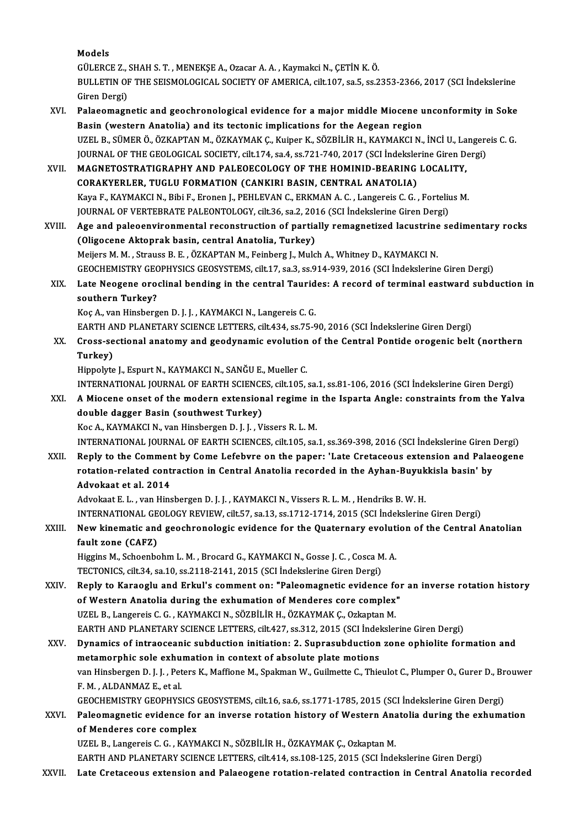Models

Models<br>GÜLERCE Z., SHAH S. T. , MENEKŞE A., Ozacar A. A. , Kaymakci N., ÇETİN K. Ö.<br>BULLETIN OF THE SEISMOLOGICAL SOGIETY OF AMERICA .cilt 107, 23 5, 23 2 BULLETIN OF THE SEISMOLOGICAL SOCIETY OF AMERICA, cilt.107, sa.5, ss.2353-2366, 2017 (SCI İndekslerine<br>Giren Dergi) GÜLERCE Z., :<br>BULLETIN OF<br>Giren Dergi)<br>Pelacamagn BULLETIN OF THE SEISMOLOGICAL SOCIETY OF AMERICA, cilt.107, sa.5, ss.2353-2366, 2017 (SCI Indekslerine<br>Giren Dergi)<br>XVI. Palaeomagnetic and geochronological evidence for a major middle Miocene unconformity in Soke<br>Pasin (w

Giren Dergi)<br>Palaeomagnetic and geochronological evidence for a major middle Miocene u<br>Basin (western Anatolia) and its tectonic implications for the Aegean region<br>UZEL R. SÜMERÖ ÖZKARTAN M. ÖZKAVMAK.C. Kujper K. SÖZRİLİR Palaeomagnetic and geochronological evidence for a major middle Miocene unconformity in Soke<br>Basin (western Anatolia) and its tectonic implications for the Aegean region<br>UZEL B., SÜMER Ö., ÖZKAPTAN M., ÖZKAYMAK Ç., Kuiper Basin (western Anatolia) and its tectonic implications for the Aegean region<br>UZEL B., SÜMER Ö., ÖZKAPTAN M., ÖZKAYMAK Ç., Kuiper K., SÖZBİLİR H., KAYMAKCI N., İNCİ U., Langere<br>JOURNAL OF THE GEOLOGICAL SOCIETY, cilt.174, s JOURNAL OF THE GEOLOGICAL SOCIETY, cilt.174, sa.4, ss.721-740, 2017 (SCI İndekslerine Giren Dergi)<br>XVII. MAGNETOSTRATIGRAPHY AND PALEOECOLOGY OF THE HOMINID-BEARING LOCALITY.

CORAKYERLER, TUGLU FORMATION (CANKIRI BASIN, CENTRAL ANATOLIA) MAGNETOSTRATIGRAPHY AND PALEOECOLOGY OF THE HOMINID-BEARING LOCALITY,<br>CORAKYERLER, TUGLU FORMATION (CANKIRI BASIN, CENTRAL ANATOLIA)<br>Kaya F., KAYMAKCI N., Bibi F., Eronen J., PEHLEVAN C., ERKMAN A. C. , Langereis C. G. , F CORAKYERLER, TUGLU FORMATION (CANKIRI BASIN, CENTRAL ANATOLIA)<br>Kaya F., KAYMAKCI N., Bibi F., Eronen J., PEHLEVAN C., ERKMAN A. C. , Langereis C. G. , Forteliu<br>JOURNAL OF VERTEBRATE PALEONTOLOGY, cilt.36, sa.2, 2016 (SCI İ JOURNAL OF VERTEBRATE PALEONTOLOGY, cilt.36, sa.2, 2016 (SCI Indekslerine Giren Dergi)<br>XVIII. Age and paleoenvironmental reconstruction of partially remagnetized lacustrine sedimentary rocks

(Oligocene Aktoprak basin, central Anatolia, Turkey) Meijers M. M., Strauss B. E., ÖZKAPTAN M., Feinberg J., Mulch A., Whitney D., KAYMAKCI N. GEOCHEMISTRYGEOPHYSICSGEOSYSTEMS, cilt.17, sa.3, ss.914-939,2016 (SCI İndekslerineGirenDergi) Meijers M. M. , Strauss B. E. , ÖZKAPTAN M., Feinberg J., Mulch A., Whitney D., KAYMAKCI N.<br>GEOCHEMISTRY GEOPHYSICS GEOSYSTEMS, cilt.17, sa.3, ss.914-939, 2016 (SCI İndekslerine Giren Dergi)<br>XIX. Late Neogene oroclinal

# **GEOCHEMISTRY GEO**<br>Late Neogene oro<br>southern Turkey?<br><sup>Voc A</sup> var Hinsberg Late Neogene oroclinal bending in the central Taurid<br>southern Turkey?<br>Koç A., van Hinsbergen D. J. J. , KAYMAKCI N., Langereis C. G.<br>EARTH AND BLANETARY SCIENCE LETTERS, silt 424, ss 75. S southern Turkey?<br>Koç A., van Hinsbergen D. J. J. , KAYMAKCI N., Langereis C. G.<br>EARTH AND PLANETARY SCIENCE LETTERS, cilt.434, ss.75-90, 2016 (SCI İndekslerine Giren Dergi)<br>Cress, sestional anatomu and geodunemis evolution

Koç A., van Hinsbergen D. J. J. , KAYMAKCI N., Langereis C. G.<br>EARTH AND PLANETARY SCIENCE LETTERS, cilt.434, ss.75-90, 2016 (SCI İndekslerine Giren Dergi)<br>XX. Cross-sectional anatomy and geodynamic evolution of the Centra EARTH A<br>Cross-se<br>Turkey)<br>Hinnelyte Turkey)<br>Hippolyte J., Espurt N., KAYMAKCI N., SANĞU E., Mueller C.<br>INTERNATIONAL JOURNAL OF EARTH SCIENCES, cilt.105, sa.1, ss.81-106, 2016 (SCI İndekslerine Giren Dergi)<br>A Miasana anast of the madern extensional rasime in

Hippolyte J., Espurt N., KAYMAKCI N., SANĞU E., Mueller C.

Hippolyte J., Espurt N., KAYMAKCI N., SANĞU E., Mueller C.<br>INTERNATIONAL JOURNAL OF EARTH SCIENCES, cilt.105, sa.1, ss.81-106, 2016 (SCI İndekslerine Giren Dergi)<br>XXI. A Miocene onset of the modern extensional regime i INTERNATIONAL JOURNAL OF EARTH SCIENCE<br>A Miocene onset of the modern extension<br>double dagger Basin (southwest Turkey)<br>Kos A KAYMAKCLN, van Hinsbergen D, LJ, V. A Miocene onset of the modern extensional regime in the Isparta Angle: constraints from the Yalva double dagger Basin (southwest Turkey)<br>Koc A., KAYMAKCI N., van Hinsbergen D. J. J. , Vissers R. L. M.

INTERNATIONAL JOURNAL OF EARTH SCIENCES, cilt.105, sa.1, ss.369-398, 2016 (SCI İndekslerine Giren Dergi)

Koc A., KAYMAKCI N., van Hinsbergen D. J. J. , Vissers R. L. M.<br>INTERNATIONAL JOURNAL OF EARTH SCIENCES, cilt.105, sa.1, ss.369-398, 2016 (SCI Indekslerine Giren Dergi)<br>XXII. Reply to the Comment by Come Lefebvre on the pa INTERNATIONAL JOURNAL OF EARTH SCIENCES, cilt.105, sa.1, ss.369-398, 2016 (SCI İndekslerine Giren l<br>Reply to the Comment by Come Lefebvre on the paper: 'Late Cretaceous extension and Palae<br>rotation-related contraction in C Reply to the Commen<br>rotation-related cont<br>Advokaat et al. 2014 rotation-related contraction in Central Anatolia recorded in the Ayhan-Buyukkisla basin' by<br>Advokaat et al. 2014<br>Advokaat E. L. , van Hinsbergen D. J. J. , KAYMAKCI N., Vissers R. L. M. , Hendriks B. W. H.

Advokaat et al. 2014<br>Advokaat E. L. , van Hinsbergen D. J. J. , KAYMAKCI N., Vissers R. L. M. , Hendriks B. W. H.<br>INTERNATIONAL GEOLOGY REVIEW, cilt.57, sa.13, ss.1712-1714, 2015 (SCI İndekslerine Giren Dergi)<br>New kinemati

# Advokaat E. L. , van Hinsbergen D. J. J. , KAYMAKCI N., Vissers R. L. M. , Hendriks B. W. H.<br>INTERNATIONAL GEOLOGY REVIEW, cilt.57, sa.13, ss.1712-1714, 2015 (SCI İndekslerine Giren Dergi)<br>XXIII. New kinematic and geochron INTERNATIONAL GE<br>New kinematic and<br>fault zone (CAFZ)<br>Hissing M. Schoonho New kinematic and geochronologic evidence for the Quaternary evolut:<br>fault zone (CAFZ)<br>Higgins M., Schoenbohm L. M. , Brocard G., KAYMAKCI N., Gosse J. C. , Cosca M. A.<br>TECTONICS, sitt 24, se 10, se 2119, 2141, 2015, (SCI

fault zone (CAFZ)<br>Higgins M., Schoenbohm L. M. , Brocard G., KAYMAKCI N., Gosse J. C. , Cosca M. A.<br>TECTONICS, cilt.34, sa.10, ss.2118-2141, 2015 (SCI İndekslerine Giren Dergi)

- Higgins M., Schoenbohm L. M. , Brocard G., KAYMAKCI N., Gosse J. C. , Cosca M. A.<br>TECTONICS, cilt.34, sa.10, ss.2118-2141, 2015 (SCI Indekslerine Giren Dergi)<br>XXIV. Reply to Karaoglu and Erkul's comment on: "Paleomagnetic TECTONICS, cilt.34, sa.10, ss.2118-2141, 2015 (SCI Indekslerine Giren Dergi)<br>Reply to Karaoglu and Erkul's comment on: "Paleomagnetic evidence for<br>of Western Anatolia during the exhumation of Menderes core complex"<br>117EL B Reply to Karaoglu and Erkul's comment on: "Paleomagnetic evidence for Western Anatolia during the exhumation of Menderes core complex<br>UZEL B., Langereis C. G. , KAYMAKCI N., SÖZBİLİR H., ÖZKAYMAK Ç., Ozkaptan M.<br>FARTH AND of Western Anatolia during the exhumation of Menderes core complex"<br>UZEL B., Langereis C. G. , KAYMAKCI N., SÖZBİLİR H., ÖZKAYMAK Ç., Ozkaptan M.<br>EARTH AND PLANETARY SCIENCE LETTERS, cilt.427, ss.312, 2015 (SCI İndekslerin UZEL B., Langereis C. G. , KAYMAKCI N., SÖZBİLİR H., ÖZKAYMAK Ç., Ozkaptan M.<br>EARTH AND PLANETARY SCIENCE LETTERS, cilt.427, ss.312, 2015 (SCI İndekslerine Giren Dergi)<br>XXV. Dynamics of intraoceanic subduction initiation:
- EARTH AND PLANETARY SCIENCE LETTERS, cilt.427, ss.312, 2015 (SCI Indel<br>Dynamics of intraoceanic subduction initiation: 2. Suprasubduction<br>metamorphic sole exhumation in context of absolute plate motions<br>wan Hinsbergen D. J Dynamics of intraoceanic subduction initiation: 2. Suprasubduction zone ophiolite formation and<br>metamorphic sole exhumation in context of absolute plate motions<br>van Hinsbergen D. J. J. , Peters K., Maffione M., Spakman W., metamorphic sole exhu<br>van Hinsbergen D. J. J. , Pet<br>F. M. , ALDANMAZ E., et al.<br>CEOCUEMISTRY CEORUYS van Hinsbergen D. J. J. , Peters K., Maffione M., Spakman W., Guilmette C., Thieulot C., Plumper O., Gurer D., Br<br>F. M. , ALDANMAZ E., et al.<br>GEOCHEMISTRY GEOPHYSICS GEOSYSTEMS, cilt.16, sa.6, ss.1771-1785, 2015 (SCI İndek F. M. , ALDANMAZ E., et al.<br>GEOCHEMISTRY GEOPHYSICS GEOSYSTEMS, cilt.16, sa.6, ss.1771-1785, 2015 (SCI İndekslerine Giren Dergi)<br>XXVI. Paleomagnetic evidence for an inverse rotation history of Western Anatolia during the e

GEOCHEMISTRY GEOPHYSICS GEOSYSTEMS, cilt.16, sa.6, ss.1771-1785, 2015 (SCI İndekslerine Giren Dergi)<br>Paleomagnetic evidence for an inverse rotation history of Western Anatolia during the exhuma<br>of Menderes core complex<br>UZE Paleomagnetic evidence for an inverse rotation history of Western Ana<br>of Menderes core complex<br>UZEL B., Langereis C. G. , KAYMAKCI N., SÖZBİLİR H., ÖZKAYMAK Ç., Ozkaptan M.<br>FARTH AND BLANETARY SCIENCE LETTERS. silt 414. ss EARTH AND PLANETARY SCIENCE LETTERS, cilt.414, ss.108-125, 2015 (SCI İndekslerine Giren Dergi)

XXVII. Late Cretaceous extension and Palaeogene rotation-related contraction in Central Anatolia recorded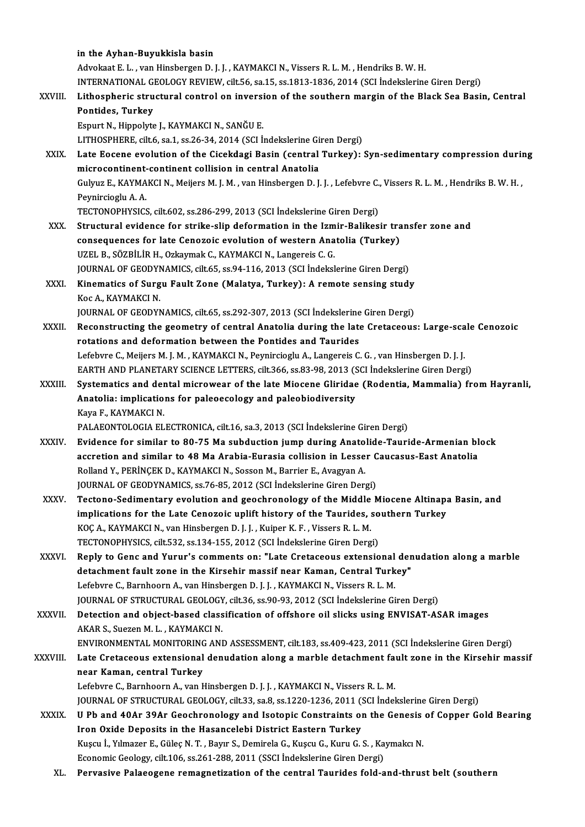|               | in the Ayhan-Buyukkisla basin                                                                                                                                                  |
|---------------|--------------------------------------------------------------------------------------------------------------------------------------------------------------------------------|
|               | Advokaat E. L., van Hinsbergen D. J. J., KAYMAKCI N., Vissers R. L. M., Hendriks B. W. H.                                                                                      |
|               | INTERNATIONAL GEOLOGY REVIEW, cilt.56, sa.15, ss.1813-1836, 2014 (SCI İndekslerine Giren Dergi)                                                                                |
| XXVIII.       | Lithospheric structural control on inversion of the southern margin of the Black Sea Basin, Central                                                                            |
|               | Pontides, Turkey                                                                                                                                                               |
|               | Espurt N., Hippolyte J., KAYMAKCI N., SANĞU E.                                                                                                                                 |
|               | LITHOSPHERE, cilt.6, sa.1, ss.26-34, 2014 (SCI Indekslerine Giren Dergi)                                                                                                       |
| XXIX.         | Late Eocene evolution of the Cicekdagi Basin (central Turkey): Syn-sedimentary compression during                                                                              |
|               | microcontinent-continent collision in central Anatolia                                                                                                                         |
|               | Gulyuz E., KAYMAKCI N., Meijers M. J. M., van Hinsbergen D. J. J., Lefebvre C., Vissers R. L. M., Hendriks B. W. H.,                                                           |
|               | Peynircioglu A.A.                                                                                                                                                              |
|               | TECTONOPHYSICS, cilt.602, ss.286-299, 2013 (SCI İndekslerine Giren Dergi)                                                                                                      |
| XXX.          | Structural evidence for strike-slip deformation in the Izmir-Balikesir transfer zone and                                                                                       |
|               | consequences for late Cenozoic evolution of western Anatolia (Turkey)                                                                                                          |
|               | UZEL B., SÖZBİLİR H., Ozkaymak C., KAYMAKCI N., Langereis C. G.                                                                                                                |
|               | JOURNAL OF GEODYNAMICS, cilt.65, ss.94-116, 2013 (SCI Indekslerine Giren Dergi)                                                                                                |
| XXXI.         | Kinematics of Surgu Fault Zone (Malatya, Turkey): A remote sensing study                                                                                                       |
|               | Koc A., KAYMAKCI N.                                                                                                                                                            |
|               | JOURNAL OF GEODYNAMICS, cilt.65, ss.292-307, 2013 (SCI Indekslerine Giren Dergi)                                                                                               |
| XXXII.        | Reconstructing the geometry of central Anatolia during the late Cretaceous: Large-scale Cenozoic                                                                               |
|               | rotations and deformation between the Pontides and Taurides<br>Lefebvre C., Meijers M. J. M., KAYMAKCI N., Peynircioglu A., Langereis C. G., van Hinsbergen D. J. J.           |
|               | EARTH AND PLANETARY SCIENCE LETTERS, cilt.366, ss.83-98, 2013 (SCI İndekslerine Giren Dergi)                                                                                   |
| <b>XXXIII</b> | Systematics and dental microwear of the late Miocene Gliridae (Rodentia, Mammalia) from Hayranli,                                                                              |
|               | Anatolia: implications for paleoecology and paleobiodiversity                                                                                                                  |
|               | Kaya F., KAYMAKCI N.                                                                                                                                                           |
|               | PALAEONTOLOGIA ELECTRONICA, cilt.16, sa.3, 2013 (SCI İndekslerine Giren Dergi)                                                                                                 |
| <b>XXXIV</b>  | Evidence for similar to 80-75 Ma subduction jump during Anatolide-Tauride-Armenian block                                                                                       |
|               | accretion and similar to 48 Ma Arabia-Eurasia collision in Lesser Caucasus-East Anatolia                                                                                       |
|               | Rolland Y., PERINÇEK D., KAYMAKCI N., Sosson M., Barrier E., Avagyan A.                                                                                                        |
|               | JOURNAL OF GEODYNAMICS, ss.76-85, 2012 (SCI Indekslerine Giren Dergi)                                                                                                          |
| <b>XXXV</b>   | Tectono-Sedimentary evolution and geochronology of the Middle Miocene Altinapa Basin, and                                                                                      |
|               | implications for the Late Cenozoic uplift history of the Taurides, southern Turkey                                                                                             |
|               | KOÇ A., KAYMAKCI N., van Hinsbergen D. J. J. , Kuiper K. F. , Vissers R. L. M.                                                                                                 |
|               | TECTONOPHYSICS, cilt.532, ss.134-155, 2012 (SCI Indekslerine Giren Dergi)                                                                                                      |
| XXXVI.        | Reply to Genc and Yurur's comments on: "Late Cretaceous extensional denudation along a marble                                                                                  |
|               | detachment fault zone in the Kirsehir massif near Kaman, Central Turkey"                                                                                                       |
|               | Lefebvre C., Barnhoorn A., van Hinsbergen D. J. J. , KAYMAKCI N., Vissers R. L. M.                                                                                             |
|               | JOURNAL OF STRUCTURAL GEOLOGY, cilt.36, ss.90-93, 2012 (SCI Indekslerine Giren Dergi)                                                                                          |
| <b>XXXVII</b> | Detection and object-based classification of offshore oil slicks using ENVISAT-ASAR images                                                                                     |
|               | AKAR S., Suezen M. L., KAYMAKCI N.                                                                                                                                             |
|               | ENVIRONMENTAL MONITORING AND ASSESSMENT, cilt.183, ss.409-423, 2011 (SCI İndekslerine Giren Dergi)                                                                             |
| XXXVIII.      | Late Cretaceous extensional denudation along a marble detachment fault zone in the Kirsehir massif                                                                             |
|               | near Kaman, central Turkey                                                                                                                                                     |
|               | Lefebvre C., Barnhoorn A., van Hinsbergen D. J. J., KAYMAKCI N., Vissers R. L. M.                                                                                              |
|               | JOURNAL OF STRUCTURAL GEOLOGY, cilt.33, sa.8, ss.1220-1236, 2011 (SCI Indekslerine Giren Dergi)                                                                                |
| <b>XXXIX</b>  | U Pb and 40Ar 39Ar Geochronology and Isotopic Constraints on the Genesis of Copper Gold Bearing                                                                                |
|               | Iron Oxide Deposits in the Hasancelebi District Eastern Turkey                                                                                                                 |
|               | Kuşcu İ., Yılmazer E., Güleç N. T. , Bayır S., Demirela G., Kuşcu G., Kuru G. S. , Kaymakcı N.<br>Economic Geology, cilt 106, ss 261-288, 2011 (SSCI Indekslerine Giren Dergi) |
| XL.           | Pervasive Palaeogene remagnetization of the central Taurides fold-and-thrust belt (southern                                                                                    |
|               |                                                                                                                                                                                |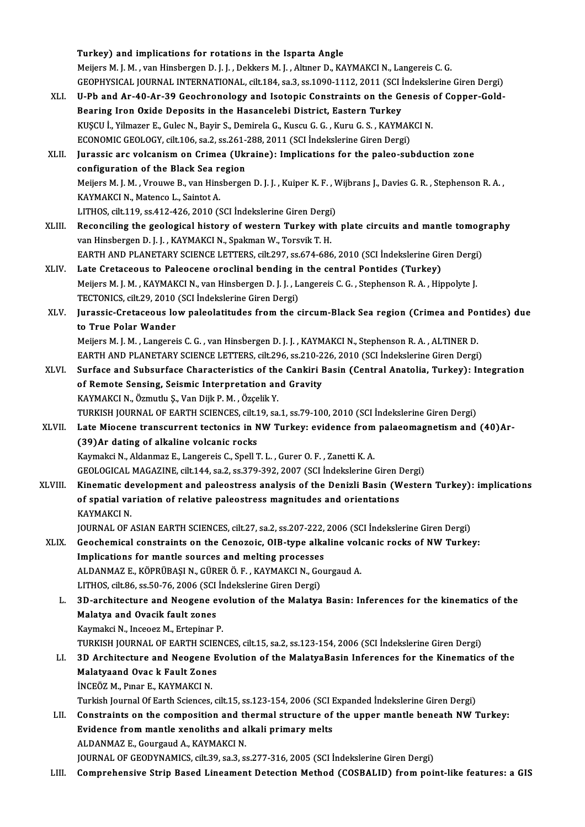Turkey) and implications for rotations in the Isparta Angle Meijers M. J. M. , van Hinsbergen D. J. J. , Dekkers M. J. , Altiner D., KAYMAKCI N., Langereis C. G. Turkey) and implications for rotations in the Isparta Angle<br>Meijers M. J. M. , van Hinsbergen D. J. J. , Dekkers M. J. , Altıner D., KAYMAKCI N., Langereis C. G.<br>GEOPHYSICAL JOURNAL INTERNATIONAL, cilt.184, sa.3, ss.1090-1 Meijers M. J. M. , van Hinsbergen D. J. J. , Dekkers M. J. , Altmer D., KAYMAKCI N., Langereis C. G.<br>GEOPHYSICAL JOURNAL INTERNATIONAL, cilt.184, sa.3, ss.1090-1112, 2011 (SCI İndekslerine Giren Dergi)<br>XLI. U-Pb and Ar-40-GEOPHYSICAL JOURNAL INTERNATIONAL, cilt.184, sa.3, ss.1090-1112, 2011 (SCI 1<br>U-Pb and Ar-40-Ar-39 Geochronology and Isotopic Constraints on the Governing Iron Oxide Deposits in the Hasancelebi District, Eastern Turkey<br>PUSC U-Pb and Ar-40-Ar-39 Geochronology and Isotopic Constraints on the Genesis<br>Bearing Iron Oxide Deposits in the Hasancelebi District, Eastern Turkey<br>KUŞCU İ., Yilmazer E., Gulec N., Bayir S., Demirela G., Kuscu G. G. , Kuru Bearing Iron Oxide Deposits in the Hasancelebi District, Eastern Turkey<br>KUSCU İ., Yilmazer E., Gulec N., Bayir S., Demirela G., Kuscu G. G., Kuru G. S., KAYMAKCI N. XLII. Jurassic arc volcanism on Crimea (Ukraine): Implications for the paleo-subduction zone<br>configuration of the Black Sea region ECONOMIC GEOLOGY, cilt.106, sa.2, ss.261-288, 2011 (SCI İndekslerine Giren Dergi) Jurassic arc volcanism on Crimea (Ukraine): Implications for the paleo-subduction zone<br>configuration of the Black Sea region<br>Meijers M. J. M. , Vrouwe B., van Hinsbergen D. J. J. , Kuiper K. F. , Wijbrans J., Davies G. R. **configuration of the Black Sea re**<br>Meijers M. J. M. , Vrouwe B., van Hins<br>KAYMAKCI N., Matenco L., Saintot A.<br>LITHOS si<sup>j</sup>t 119, se 412, 426, 2010 (S Meijers M. J. M. , Vrouwe B., van Hinsbergen D. J. J. , Kuiper K. F. , V<br>KAYMAKCI N., Matenco L., Saintot A.<br>LITHOS, cilt.119, ss.412-426, 2010 (SCI İndekslerine Giren Dergi)<br>Beconsiling the geological history of western T KAYMAKCI N., Matenco L., Saintot A.<br>LITHOS, cilt.119, ss.412-426, 2010 (SCI İndekslerine Giren Dergi)<br>XLIII. Reconciling the geological history of western Turkey with plate circuits and mantle tomography van Hinsbergen D. J. J., KAYMAKCI N., Spakman W., Torsvik T. H. Reconciling the geological history of western Turkey with plate circuits and mantle tomog<br>van Hinsbergen D. J. J. , KAYMAKCI N., Spakman W., Torsvik T. H.<br>EARTH AND PLANETARY SCIENCE LETTERS, cilt.297, ss.674-686, 2010 (SC van Hinsbergen D. J. J., KAYMAKCI N., Spakman W., Torsvik T. H.<br>EARTH AND PLANETARY SCIENCE LETTERS, cilt.297, ss.674-686, 2010 (SCI Indekslerine Gir<br>XLIV. Late Cretaceous to Paleocene oroclinal bending in the central Pont EARTH AND PLANETARY SCIENCE LETTERS, cilt.297, ss.674-686, 2010 (SCI İndekslerine Giren Dergi<br>Late Cretaceous to Paleocene oroclinal bending in the central Pontides (Turkey)<br>Meijers M. J. M. , KAYMAKCI N., van Hinsbergen D Late Cretaceous to Paleocene oroclinal bending in<br>Meijers M. J. M. , KAYMAKCI N., van Hinsbergen D. J. J. , L.<br>TECTONICS, cilt.29, 2010 (SCI İndekslerine Giren Dergi)<br>Junassia Crataceous Jow paleolatitudes from the c Meijers M. J. M. , KAYMAKCI N., van Hinsbergen D. J. J. , Langereis C. G. , Stephenson R. A. , Hippolyte J.<br>TECTONICS, cilt.29, 2010 (SCI İndekslerine Giren Dergi)<br>XLV. Jurassic-Cretaceous low paleolatitudes from the c TECTONICS, cilt.29, 2010<br>Jurassic-Cretaceous lo<br>to True Polar Wander<br>Majjara M.I.M., Langarai Jurassic-Cretaceous low paleolatitudes from the circum-Black Sea region (Crimea and Po<br>to True Polar Wander<br>Meijers M. J. M. , Langereis C. G. , van Hinsbergen D. J. J. , KAYMAKCI N., Stephenson R. A. , ALTINER D.<br>FARTH AN to True Polar Wander<br>Meijers M. J. M. , Langereis C. G. , van Hinsbergen D. J. J. , KAYMAKCI N., Stephenson R. A. , ALTINER D.<br>EARTH AND PLANETARY SCIENCE LETTERS, cilt.296, ss.210-226, 2010 (SCI İndekslerine Giren Dergi) Meijers M. J. M. , Langereis C. G. , van Hinsbergen D. J. J. , KAYMAKCI N., Stephenson R. A. , ALTINER D.<br>EARTH AND PLANETARY SCIENCE LETTERS, cilt.296, ss.210-226, 2010 (SCI İndekslerine Giren Dergi)<br>XLVI. Surface and Sub EARTH AND PLANETARY SCIENCE LETTERS, cilt.296, ss.210-2<br>Surface and Subsurface Characteristics of the Cankiri I<br>of Remote Sensing, Seismic Interpretation and Gravity<br>KAXMAKCLN, Özmutlu S. Van Diik R.M., Özselik V. Surface and Subsurface Characteristics of the<br>of Remote Sensing, Seismic Interpretation an<br>KAYMAKCI N., Özmutlu Ş., Van Dijk P. M. , Özçelik Y.<br>TURKISH JOURNAL OF FARTH SCIENCES silt 19, S. of Remote Sensing, Seismic Interpretation and Gravity<br>KAYMAKCI N., Özmutlu Ş., Van Dijk P. M. , Özçelik Y.<br>TURKISH JOURNAL OF EARTH SCIENCES, cilt.19, sa.1, ss.79-100, 2010 (SCI İndekslerine Giren Dergi)<br>Lata Miacone trans KAYMAKCI N., Özmutlu Ş., Van Dijk P. M. , Özçelik Y.<br>TURKISH JOURNAL OF EARTH SCIENCES, cilt.19, sa.1, ss.79-100, 2010 (SCI İndekslerine Giren Dergi)<br>XLVII. Late Miocene transcurrent tectonics in NW Turkey: evidence from p TURKISH JOURNAL OF EARTH SCIENCES, cilt.1<br>Late Miocene transcurrent tectonics in N<br>(39)Ar dating of alkaline volcanic rocks<br>Kaymakai N. Aldanmag E. Langarais C. Spall 1 Kaymakci N., Aldanmaz E., Langereis C., Spell T. L., Gurer O. F., Zanetti K. A. GEOLOGICALMAGAZINE, cilt.144, sa.2, ss.379-392,2007 (SCI İndekslerineGirenDergi) XLVIII. Kinematic development and paleostress analysis of the Denizli Basin (Western Turkey): implications GEOLOGICAL MAGAZINE, cilt.144, sa.2, ss.379-392, 2007 (SCI İndekslerine Giren I<br>Kinematic development and paleostress analysis of the Denizli Basin (W<br>of spatial variation of relative paleostress magnitudes and orientation Kinematic de<br>of spatial va<br>KAYMAKCI N.<br>JOUPMAL OF of spatial variation of relative paleostress magnitudes and orientations<br>KAYMAKCI N.<br>JOURNAL OF ASIAN EARTH SCIENCES, cilt.27, sa.2, ss.207-222, 2006 (SCI İndekslerine Giren Dergi)<br>Coochemisel senstraints on the Conogois, KAYMAKCI N.<br>JOURNAL OF ASIAN EARTH SCIENCES, cilt.27, sa.2, ss.207-222, 2006 (SCI Indekslerine Giren Dergi)<br>XLIX. Geochemical constraints on the Cenozoic, OIB-type alkaline volcanic rocks of NW Turkey:<br>Implications for mon JOURNAL OF ASIAN EARTH SCIENCES, cilt.27, sa.2, ss.207-222,<br>Geochemical constraints on the Cenozoic, OIB-type alka<br>Implications for mantle sources and melting processes<br>ALDANMAZE, KÖPPÜRASI N. GÜPER Ö.E., KAYMAKCI N. CON Geochemical constraints on the Cenozoic, OIB-type alkaline volonglications for mantle sources and melting processes<br>ALDANMAZ E., KÖPRÜBAŞIN., GÜRER Ö. F. , KAYMAKCIN., Gourgaud A.<br>LITHOS silt 96, ss 50, 76, 2006 (SCI İndek Implications for mantle sources and melting processes<br>ALDANMAZ E., KÖPRÜBAŞI N., GÜRER Ö. F. , KAYMAKCI N., Go<br>LITHOS, cilt.86, ss.50-76, 2006 (SCI İndekslerine Giren Dergi)<br>2D. architecture and Neogene evolution of the Ma ALDANMAZ E., KÖPRÜBAŞI N., GÜRER Ö. F. , KAYMAKCI N., Gourgaud A.<br>LITHOS, cilt.86, ss.50-76, 2006 (SCI İndekslerine Giren Dergi)<br>L. 3D-architecture and Neogene evolution of the Malatya Basin: Inferences for the kinematics LITHOS, cilt.86, ss.50-76, 2006 (SCI<br>3D-architecture and Neogene e<br>Malatya and Ovacik fault zones<br>Kaymaksi N. Inseesr M. Exteniner I **3D-architecture and Neogene evourned**<br>Malatya and Ovacik fault zones<br>Kaymakci N., Inceoez M., Ertepinar P.<br>TURVISH JOURNAL OF FARTH SCIEN. Malatya and Ovacik fault zones<br>Kaymakci N., Inceoez M., Ertepinar P.<br>TURKISH JOURNAL OF EARTH SCIENCES, cilt.15, sa.2, ss.123-154, 2006 (SCI İndekslerine Giren Dergi)<br>2D Architecture and Neogone Evolution of the MalatyaBas Kaymakci N., Inceoez M., Ertepinar P.<br>TURKISH JOURNAL OF EARTH SCIENCES, cilt.15, sa.2, ss.123-154, 2006 (SCI İndekslerine Giren Dergi)<br>LI. 3D Architecture and Neogene Evolution of the MalatyaBasin Inferences for the Kinem TURKISH JOURNAL OF EARTH SCIE<br>3D Architecture and Neogene E<br>Malatyaand Ovac k Fault Zones<br>INCEÖZ M. Bror E. KAYMAKCI N **3D Architecture and Neogene<br>Malatyaand Ovac k Fault Zone:<br>İNCEÖZ M., Pınar E., KAYMAKCI N.**<br>Turkich Journal Of Farth Sciences. Malatyaand Ovac k Fault Zones<br>İNCEÖZ M., Pınar E., KAYMAKCI N.<br>Turkish Journal Of Earth Sciences, cilt.15, ss.123-154, 2006 (SCI Expanded İndekslerine Giren Dergi) LII. Constraints on the composition and thermal structure of the upper mantle beneath NW Turkey: Turkish Journal Of Earth Sciences, cilt.15, ss.123-154, 2006 (SCI I<br>Constraints on the composition and thermal structure of<br>Evidence from mantle xenoliths and alkali primary melts<br>ALDANMAZE, Courgaud A, KAYMAKCLN Constraints on the composition and the<br>Evidence from mantle xenoliths and a<br>ALDANMAZ E., Gourgaud A., KAYMAKCI N.<br>JOUPMAL OF CEODYMAMICS si<sup>1</sup>t 20, 22, 23, 24 ALDANMAZ E., Gourgaud A., KAYMAKCI N.<br>JOURNAL OF GEODYNAMICS, cilt.39, sa.3, ss.277-316, 2005 (SCI İndekslerine Giren Dergi) LIII. Comprehensive Strip Based Lineament Detection Method (COSBALID) from point-like features: a GIS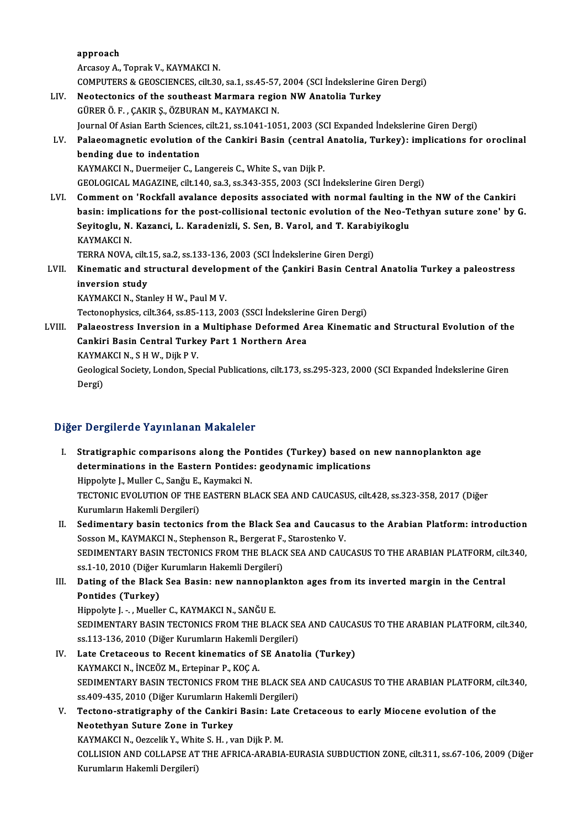approach Arcasoy A., Toprak V., KAYMAKCI N. approach<br>Arcasoy A., Toprak V., KAYMAKCI N.<br>COMPUTERS & GEOSCIENCES, cilt.30, sa.1, ss.45-57, 2004 (SCI İndekslerine Giren Dergi)<br>Nestastaniss of the southeast Marmars nazion NW Anatalia Turkov. LIV. Neotectonics of the southeast Marmara region NW Anatolia Turkey<br>GÜRER Ö. F., ÇAKIR Ş., ÖZBURAN M., KAYMAKCI N. COMPUTERS & GEOSCIENCES, cilt.30, sa.1, ss.45-57,<br>Neotectonics of the southeast Marmara regio<br>GÜRER Ö. F. , ÇAKIR Ş., ÖZBURAN M., KAYMAKCI N.<br>Journal Of Asian Farth Ssianses, silt 31, ss.1041, 105 Journal Of Asian Earth Sciences, cilt.21, ss.1041-1051, 2003 (SCI Expanded İndekslerine Giren Dergi) GÜRER Ö. F. , ÇAKIR Ş., ÖZBURAN M., KAYMAKCI N.<br>Journal Of Asian Earth Sciences, cilt.21, ss.1041-1051, 2003 (SCI Expanded İndekslerine Giren Dergi)<br>LV. Palaeomagnetic evolution of the Cankiri Basin (central Anatolia, **Journal Of Asian Earth Sciences<br>Palaeomagnetic evolution of<br>bending due to indentation<br>KAYMAKCLN, Duermejier C. Le** Palaeomagnetic evolution of the Cankiri Basin (central<br>bending due to indentation<br>KAYMAKCI N., Duermeijer C., Langereis C., White S., van Dijk P.<br>CEOLOCICAL MACAZINE silt 140 sp.2 sp.242,255,2002 (SCLI bending due to indentation<br>KAYMAKCI N., Duermeijer C., Langereis C., White S., van Dijk P.<br>GEOLOGICAL MAGAZINE, cilt.140, sa.3, ss.343-355, 2003 (SCI İndekslerine Giren Dergi) KAYMAKCI N., Duermeijer C., Langereis C., White S., van Dijk P.<br>GEOLOGICAL MAGAZINE, cilt.140, sa.3, ss.343-355, 2003 (SCI Indekslerine Giren Dergi)<br>LVI. Comment on 'Rockfall avalance deposits associated with normal faulti GEOLOGICAL MAGAZINE, cilt.140, sa.3, ss.343-355, 2003 (SCI Indekslerine Giren Dergi)<br>Comment on 'Rockfall avalance deposits associated with normal faulting in the NW of the Cankiri<br>basin: implications for the post-collisio Comment on 'Rockfall avalance deposits associated with normal faulting in<br>basin: implications for the post-collisional tectonic evolution of the Neo-T.<br>Seyitoglu, N. Kazanci, L. Karadenizli, S. Sen, B. Varol, and T. Karabi basin: implications for the post-collisional tectonic evolution of the Neo-Tethyan suture zone' by G.<br>Seyitoglu, N. Kazanci, L. Karadenizli, S. Sen, B. Varol, and T. Karabiyikoglu<br>KAYMAKCI N. Seyitoglu, N. Kazanci, L. Karadenizli, S. Sen, B. Varol, and T. Karabi<br>KAYMAKCI N.<br>TERRA NOVA, cilt.15, sa.2, ss.133-136, 2003 (SCI İndekslerine Giren Dergi)<br>Kinamatia and strustural davalarmant of the Cankini Basin Cantra KAYMAKCI N.<br>TERRA NOVA, cilt.15, sa.2, ss.133-136, 2003 (SCI İndekslerine Giren Dergi)<br>LVII. Kinematic and structural development of the Çankiri Basin Central Anatolia Turkey a paleostress<br>inversion study TERRA NOVA, cilt.<br>Kinematic and study<br>inversion study Kinematic and structural develop<br>inversion study<br>KAYMAKCI N., Stanley H W., Paul M V.<br>Testanophysiss silt 364 ss 95,113,20 inversion study<br>KAYMAKCI N., Stanley H W., Paul M V.<br>Tectonophysics, cilt.364, ss.85-113, 2003 (SSCI İndekslerine Giren Dergi) KAYMAKCI N., Stanley H W., Paul M V.<br>Tectonophysics, cilt.364, ss.85-113, 2003 (SSCI İndekslerine Giren Dergi)<br>LVIII. Palaeostress Inversion in a Multiphase Deformed Area Kinematic and Structural Evolution of the<br>Conkini B Tectonophysics, cilt.364, ss.85-113, 2003 (SSCI İndekslerin<br>Palaeostress Inversion in a Multiphase Deformed A<br>Cankiri Basin Central Turkey Part 1 Northern Area<br>KAYMAKCI N. S.H.W. Dilk P.V Palaeostress Inversion in a<br>Cankiri Basin Central Turke<br>KAYMAKCI N., S H W., Dijk P V.<br>Ceological Society, London, Sp Cankiri Basin Central Turkey Part 1 Northern Area<br>KAYMAKCI N., S H W., Dijk P V.<br>Geological Society, London, Special Publications, cilt.173, ss.295-323, 2000 (SCI Expanded İndekslerine Giren<br>Persi) KAYMA<br>Geolog<br>Dergi) Dergi)<br>Diğer Dergilerde Yayınlanan Makaleler

- I. Stratigraphic comparisons along the Pontides (Turkey) based on newnannoplankton age determinations in the Eastern Pontides (Turkey) based on<br>determinations in the Eastern Pontides: geodynamic implications<br>Hinnelite L. Muller C. Sonën E. Kaumeksi N Stratigraphic comparisons along the Po<br>determinations in the Eastern Pontides<br>Hippolyte J., Muller C., Sanğu E., Kaymakci N.<br>TECTONIC EVOLUTION OF THE EASTEDN PL determinations in the Eastern Pontides: geodynamic implications<br>Hippolyte J., Muller C., Sanğu E., Kaymakci N.<br>TECTONIC EVOLUTION OF THE EASTERN BLACK SEA AND CAUCASUS, cilt.428, ss.323-358, 2017 (Diğer<br>Kurumların Hakamli Hippolyte J., Muller C., Sanğu E.,<br>TECTONIC EVOLUTION OF THE<br>Kurumların Hakemli Dergileri)<br>Sedimentarıy basın tectoniss TECTONIC EVOLUTION OF THE EASTERN BLACK SEA AND CAUCASUS, cilt.428, ss.323-358, 2017 (Diğer<br>Kurumların Hakemli Dergileri)<br>II. Sedimentary basin tectonics from the Black Sea and Caucasus to the Arabian Platform: introductio
- Kurumların Hakemli Dergileri)<br>Sedimentary basin tectonics from the Black Sea and Caucası<br>Sosson M., KAYMAKCI N., Stephenson R., Bergerat F., Starostenko V.<br>SEDIMENTARY BASIN TECTONICS FROM THE BLACK SEA AND CAU Sedimentary basin tectonics from the Black Sea and Caucasus to the Arabian Platform: introduction<br>Sosson M., KAYMAKCI N., Stephenson R., Bergerat F., Starostenko V.<br>SEDIMENTARY BASIN TECTONICS FROM THE BLACK SEA AND CAUCAS Sosson M., KAYMAKCI N., Stephenson R., Bergerat F.,<br>SEDIMENTARY BASIN TECTONICS FROM THE BLACK<br>ss.1-10, 2010 (Diğer Kurumların Hakemli Dergileri)<br>Dating of the Black See Basin; new nannanları SEDIMENTARY BASIN TECTONICS FROM THE BLACK SEA AND CAUCASUS TO THE ARABIAN PLATFORM, cilt<br>ss.1-10, 2010 (Diğer Kurumların Hakemli Dergileri)<br>III. Dating of the Black Sea Basin: new nannoplankton ages from its inverted marg
- ss.1-10, 2010 (Diğer Kurumların Hakemli Dergileri)<br>III. Dating of the Black Sea Basin: new nannoplankton ages from its inverted margin in the Central<br>Pontides (Turkey)

Hippolyte J. - , Mueller C., KAYMAKCI N., SANĞU E. Pontides (Turkey)<br>Hippolyte J. - , Mueller C., KAYMAKCI N., SANĞU E.<br>SEDIMENTARY BASIN TECTONICS FROM THE BLACK SEA AND CAUCASUS TO THE ARABIAN PLATFORM, cilt.340,<br>98.113.126.2010 (Diğer Kurumların Hakamli Dergileri) Hippolyte J. - , Mueller C., KAYMAKCI N., SANĞU E.<br>SEDIMENTARY BASIN TECTONICS FROM THE BLACK SE<br>ss.113-136, 2010 (Diğer Kurumların Hakemli Dergileri)<br>Late Crataceous to Basent kinomatics of SE Anato SEDIMENTARY BASIN TECTONICS FROM THE BLACK SEA AND CAUCASS.<br>
13.136, 2010 (Diğer Kurumların Hakemli Dergileri)<br>
IV. Late Cretaceous to Recent kinematics of SE Anatolia (Turkey)<br>
KAYMAKCI N. İNCEÖZ M. Ertoninar B. KOC A

- ss.113-136, 2010 (Diğer Kurumların Hakemli Dergileri)<br>IV. Late Cretaceous to Recent kinematics of SE Anatolia (Turkey)<br>KAYMAKCI N., İNCEÖZ M., Ertepinar P., KOÇ A. Late Cretaceous to Recent kinematics of SE Anatolia (Turkey)<br>KAYMAKCI N., İNCEÖZ M., Ertepinar P., KOÇ A.<br>SEDIMENTARY BASIN TECTONICS FROM THE BLACK SEA AND CAUCASUS TO THE ARABIAN PLATFORM, cilt.340,<br>88.409.425.2010 (Diğe KAYMAKCI N., İNCEÖZ M., Ertepinar P., KOÇ A.<br>SEDIMENTARY BASIN TECTONICS FROM THE BLACK SE<br>ss.409-435, 2010 (Diğer Kurumların Hakemli Dergileri)<br>Testana stratisranbu af the Cankini Basin; Late G. SEDIMENTARY BASIN TECTONICS FROM THE BLACK SEA AND CAUCASUS TO THE ARABIAN PLATFORM, of the Sando-435, 2010 (Diger Kurumların Hakemli Dergileri)<br>V. Tectono-stratigraphy of the Cankiri Basin: Late Cretaceous to early Miocen
- ss.409-435, 2010 (Diğer Kurumların Ha<br>Tectono-stratigraphy of the Cankiri<br>Neotethyan Suture Zone in Turkey<br>KANMAKCI N. Qozelik V. White S. H. W Tectono-stratigraphy of the Cankiri Basin: Lat<br>Neotethyan Suture Zone in Turkey<br>KAYMAKCI N., Oezcelik Y., White S. H. , van Dijk P. M.<br>COLLISION AND COLLABSE AT THE AEDICA ARABIA Neotethyan Suture Zone in Turkey<br>KAYMAKCI N., Oezcelik Y., White S. H. , van Dijk P. M.<br>COLLISION AND COLLAPSE AT THE AFRICA-ARABIA-EURASIA SUBDUCTION ZONE, cilt.311, ss.67-106, 2009 (Diğer<br>Kurumların Hakemli Dergileri) KAYMAKCI N., Oezcelik Y., White S. H., van Dijk P. M.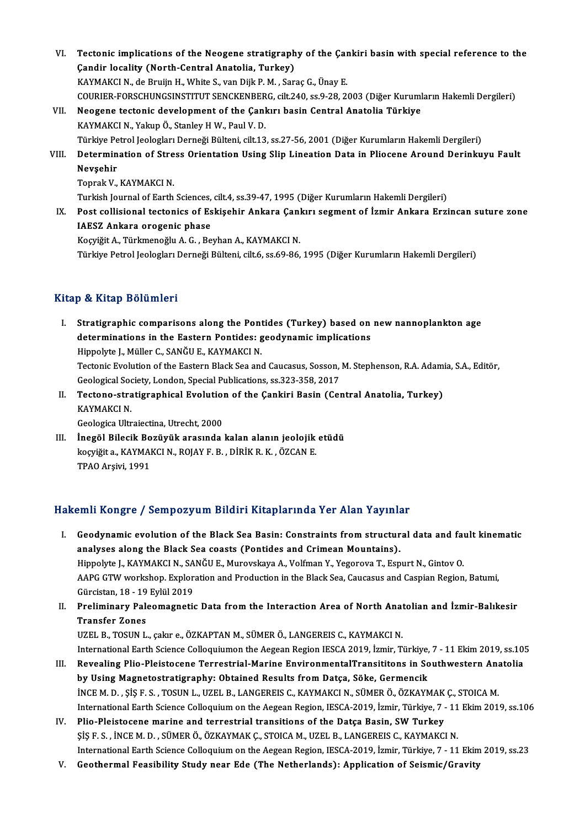- VI. Tectonic implications of the Neogene stratigraphy of the Çankiri basin with special reference to the Tectonic implications of the Neogene stratigraph<br>Candir locality (North-Central Anatolia, Turkey)<br>KANMAKCLN, de Buviin H. White S. van Dijk B.M., Sen Tectonic implications of the Neogene stratigraphy of the Çar<br>Çandir locality (North-Central Anatolia, Turkey)<br>KAYMAKCI N., de Bruijn H., White S., van Dijk P. M. , Saraç G., Ünay E.<br>COUDIER FORSCHUNGSINSTITUT SENGKENRERC, Çandir locality (North-Central Anatolia, Turkey)<br>KAYMAKCI N., de Bruijn H., White S., van Dijk P. M. , Saraç G., Ünay E.<br>COURIER-FORSCHUNGSINSTITUT SENCKENBERG, cilt.240, ss.9-28, 2003 (Diğer Kurumların Hakemli Dergileri)<br> KAYMAKCI N., de Bruijn H., White S., van Dijk P. M. , Saraç G., Ünay E.<br>COURIER-FORSCHUNGSINSTITUT SENCKENBERG, cilt.240, ss.9-28, 2003 (Diğer Kurum<br>VII. Neogene tectonic development of the Çankırı basin Central Anatolia T
- COURIER-FORSCHUNGSINSTITUT SENCKENBER<br>Neogene tectonic development of the Çanl<br>KAYMAKCI N., Yakup Ö., Stanley H W., Paul V. D.<br>Türkiye Petrel Jeologları Derneği Bülteni, cilt 13 Neogene tectonic development of the Çankırı basin Central Anatolia Türkiye<br>KAYMAKCI N., Yakup Ö., Stanley H W., Paul V. D.<br>Türkiye Petrol Jeologları Derneği Bülteni, cilt.13, ss.27-56, 2001 (Diğer Kurumların Hakemli Dergil KAYMAKCI N., Yakup Ö., Stanley H W., Paul V. D.<br>Türkiye Petrol Jeologları Derneği Bülteni, cilt.13, ss.27-56, 2001 (Diğer Kurumların Hakemli Dergileri)<br>VIII. Determination of Stress Orientation Using Slip Lineation Dat
- Türkiye Pe<br><mark>Determin</mark><br>Nevşehir<br><sup>Tonrok V</sup> Determination of Stre<br>Nevşehir<br>Toprak V., KAYMAKCI N.<br>Turkich Journal of Forth Nevşehir<br>Toprak V., KAYMAKCI N.<br>Turkish Journal of Earth Sciences, cilt.4, ss.39-47, 1995 (Diğer Kurumların Hakemli Dergileri)<br>Post sallisional testanise of Eskisabir, Ankara Cankını sasmant of İsmir, Ankara Ersi

Toprak V., KAYMAKCI N.<br>Turkish Journal of Earth Sciences, cilt.4, ss.39-47, 1995 (Diğer Kurumların Hakemli Dergileri)<br>IX. Post collisional tectonics of Eskişehir Ankara Çankırı segment of İzmir Ankara Erzincan suture zone<br> Turkish Journal of Earth Sciences,<br>Post collisional tectonics of Es<br>IAESZ Ankara orogenic phase

Koçyiğit A., Türkmenoğlu A. G., Beyhan A., KAYMAKCI N.

Türkiye Petrol Jeologları Derneği Bülteni, cilt.6, ss.69-86, 1995 (Diğer Kurumların Hakemli Dergileri)

## Kitap & Kitap Bölümleri

- Itap & Kitap Bölümleri<br>I. Stratigraphic comparisons along the Pontides (Turkey) based on new nannoplankton age<br>determinations in the Eastern Bontides: seedynamis implications o determinations<br>Stratigraphic comparisons along the Pontides (Turkey) based on<br>determinations in the Eastern Pontides: geodynamic implications<br>Hinnelite L. Müller C. SANČU E. KAYMAKCLN Stratigraphic comparisons along the Pont<br>determinations in the Eastern Pontides: g<br>Hippolyte J., Müller C., SANĞU E., KAYMAKCI N.<br>Testonis Evolution of the Eastern Black See and determinations in the Eastern Pontides: geodynamic implications<br>Hippolyte J., Müller C., SANĞU E., KAYMAKCI N.<br>Tectonic Evolution of the Eastern Black Sea and Caucasus, Sosson, M. Stephenson, R.A. Adamia, S.A., Editör,<br>Ceo Hippolyte J., Müller C., SANĞU E., KAYMAKCI N.<br>Tectonic Evolution of the Eastern Black Sea and Caucasus, Sosson,<br>Geological Society, London, Special Publications, ss.323-358, 2017<br>Testone, stratisraphical Evolution of the Tectonic Evolution of the Eastern Black Sea and Caucasus, Sosson, M. Stephenson, R.A. Adam<br>Geological Society, London, Special Publications, ss.323-358, 2017<br>II. Tectono-stratigraphical Evolution of the Çankiri Basin (Cent
- Geological Society, London, Special Publications, ss.323-358, 2017<br>Tectono-stratigraphical Evolution of the Çankiri Basin (Ce<br>KAYMAKCI N.<br>Geologica Ultraiectina, Utrecht, 2000 Tectono-stratigraphical Evolution<br>KAYMAKCI N.<br>Geologica Ultraiectina, Utrecht, 2000<br>Inegël Bilesik Perëvëlk execunde
- III. İnegöl Bilecik Bozüyük arasında kalan alanın jeolojik etüdü koçyiğita.,KAYMAKCIN.,ROJAYF.B. ,DİRİKR.K. ,ÖZCANE. TPAO Arşivi, 1991

## Hakemli Kongre / Sempozyum Bildiri Kitaplarında Yer Alan Yayınlar

- I. Geodynamic evolution of the Black Sea Basin: Constraints fromstructural data and fault kinematic analyses along the Black Sea coasts (Pontides and Crimean Mountains). Geodynamic evolution of the Black Sea Basin: Constraints from structural data and fai<br>analyses along the Black Sea coasts (Pontides and Crimean Mountains).<br>Hippolyte J., KAYMAKCI N., SANĞU E., Murovskaya A., Volfman Y., Ye analyses along the Black Sea coasts (Pontides and Crimean Mountains).<br>Hippolyte J., KAYMAKCI N., SANĞU E., Murovskaya A., Volfman Y., Yegorova T., Espurt N., Gintov O.<br>AAPG GTW workshop. Exploration and Production in the B Hippolyte J., KAYMAKCI N., SA<br>AAPG GTW workshop. Explor:<br>Gürcistan, 18 - 19 Eylül 2019<br>Proliminary. Balaamagnati: AAPG GTW workshop. Exploration and Production in the Black Sea, Caucasus and Caspian Region, Batumi,<br>Gürcistan, 18 - 19 Eylül 2019<br>II. Preliminary Paleomagnetic Data from the Interaction Area of North Anatolian and İzmir-B
- Gürcistan, 18 19<br><mark>Preliminary Pale</mark><br>Transfer Zones<br>UZEL P. TOSUN L Preliminary Paleomagnetic Data from the Interaction Area of North Anat<br>Transfer Zones<br>UZEL B., TOSUN L., çakır e., ÖZKAPTAN M., SÜMER Ö., LANGEREIS C., KAYMAKCI N.<br>International Farth Science Colloquiumon the Accean Begion Transfer Zones<br>UZEL B., TOSUN L., çakır e., ÖZKAPTAN M., SÜMER Ö., LANGEREIS C., KAYMAKCI N.<br>International Earth Science Colloquiumon the Aegean Region IESCA 2019, İzmir, Türkiye, 7 - 11 Ekim 2019, ss.105<br>Boyealing Plie, P

- UZEL B., TOSUN L., çakır e., ÖZKAPTAN M., SÜMER Ö., LANGEREIS C., KAYMAKCI N.<br>International Earth Science Colloquiumon the Aegean Region IESCA 2019, İzmir, Türkiye, 7 11 Ekim 2019, ss.10<br>III. Revealing Plio-Pleistocene T International Earth Science Colloquiumon the Aegean Region IESCA 2019, İzmir, Türkiye,<br>Revealing Plio-Pleistocene Terrestrial-Marine EnvironmentalTransititons in So<br>by Using Magnetostratigraphy: Obtained Results from Datça Revealing Plio-Pleistocene Terrestrial-Marine EnvironmentalTransititons in Southwestern Ana<br>by Using Magnetostratigraphy: Obtained Results from Datça, Söke, Germencik<br>İNCEM. D. , ŞİŞ F.S. , TOSUN L., UZEL B., LANGEREIS C., by Using Magnetostratigraphy: Obtained Results from Datça, Söke, Germencik<br>INCE M. D. , ŞİŞ F. S. , TOSUN L., UZEL B., LANGEREIS C., KAYMAKCI N., SÜMER Ö., ÖZKAYMAK Ç., STOICA M.<br>International Earth Science Colloquium on t INCE M. D., ŞİŞ F. S., TOSUN L., UZEL B., LANGEREIS C., KAYMAKCI N., SÜMER Ö., ÖZKAYMAK<br>International Earth Science Colloquium on the Aegean Region, IESCA-2019, İzmir, Türkiye, 7<br>IV. Plio-Pleistocene marine and terrestrial
- International Earth Science Colloquium on the Aegean Region, IESCA-2019, İzmir, Türkiye, 7 11<br>Plio-Pleistocene marine and terrestrial transitions of the Datça Basin, SW Turkey<br>ŞİŞ F. S. , İNCE M. D. , SÜMER Ö., ÖZKAYMAK Plio-Pleistocene marine and terrestrial transitions of the Datça Basin, SW Turkey<br>ȘIȘ F. S., İNCE M. D., SÜMER Ö., ÖZKAYMAK Ç., STOICA M., UZEL B., LANGEREIS C., KAYMAKCI N.<br>International Earth Science Colloquium on the Ae ŞİŞ F. S. , İNCE M. D. , SÜMER Ö., ÖZKAYMAK Ç., STOICA M., UZEL B., LANGEREIS C., KAYMAKCI N.<br>International Earth Science Colloquium on the Aegean Region, IESCA-2019, İzmir, Türkiye, 7 - 11 Ekim<br>V. Geothermal Feasibili
-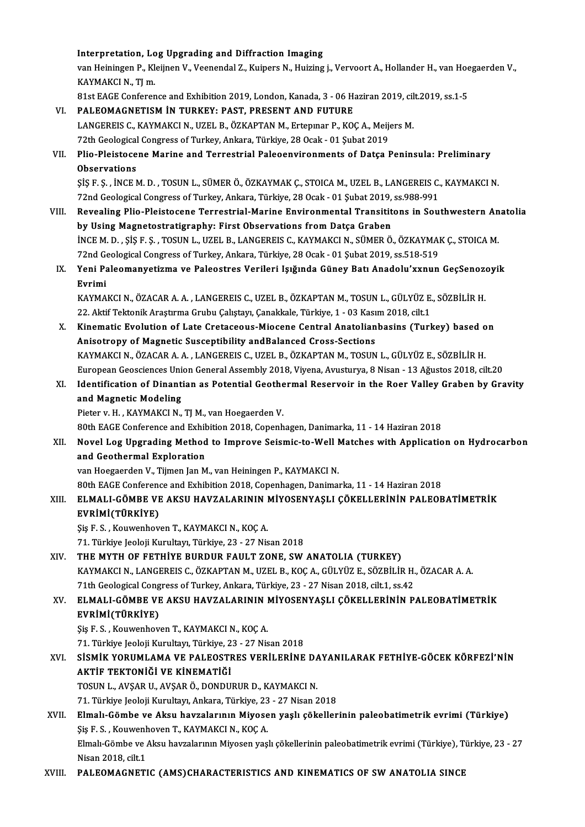Interpretation, Log Upgrading and Diffraction Imaging<br>Interpretation, Log Upgrading and Diffraction Imaging<br>Viding Publisher Bulleting

Interpretation, Log Upgrading and Diffraction Imaging<br>van Heiningen P., Kleijnen V., Veenendal Z., Kuipers N., Huizing j., Vervoort A., Hollander H., van Hoegaerden V.,<br>KAYMAKCLN, TL.m. I<mark>nterpretation, Lo</mark><br>van Heiningen P., Kl<br>KAYMAKCI N., TJ m.<br><sup>91</sup>st FACE Conferen van Heiningen P., Kleijnen V., Veenendal Z., Kuipers N., Huizing j., Vervoort A., Hollander H., van Hoe<br>KAYMAKCI N., TJ m.<br>81st EAGE Conference and Exhibition 2019, London, Kanada, 3 - 06 Haziran 2019, cilt.2019, ss.1-5<br>PA

- KAYMAKCI N., TJ m.<br>81st EAGE Conference and Exhibition 2019, London, Kanada, 3 06 H;<br>VI. PALEOMAGNETISM IN TURKEY: PAST, PRESENT AND FUTURE 81st EAGE Conference and Exhibition 2019, London, Kanada, 3 - 06 Haziran 2019, cil<br>PALEOMAGNETISM IN TURKEY: PAST, PRESENT AND FUTURE<br>LANGEREIS C., KAYMAKCI N., UZEL B., ÖZKAPTAN M., Ertepınar P., KOÇ A., Meijers M.<br>72th C VI. PALEOMAGNETISM IN TURKEY: PAST, PRESENT AND FUTURE<br>LANGEREIS C., KAYMAKCI N., UZEL B., ÖZKAPTAN M., Ertepinar P., KOC A., Meijers M. 72th Geological Congress of Turkey, Ankara, Türkiye, 28 Ocak - 01 Şubat 2019
- VII. Plio-Pleistocene Marine and Terrestrial Paleoenvironments of Datça Peninsula: Preliminary<br>Observations Plio-Pleistocene Marine and Terrestrial Paleoenvironments of Datça Peninsula: Preliminary<br>Observations<br>ŞİŞ F. Ş. , İNCE M. D. , TOSUN L., SÜMER Ö., ÖZKAYMAK Ç., STOICA M., UZEL B., LANGEREIS C., KAYMAKCI N.<br>72nd Coological

Observations<br>ȘİŞ F. Ş. , İNCE M. D. , TOSUN L., SÜMER Ö., ÖZKAYMAK Ç., STOICA M., UZEL B., LANGEREIS C.<br>72nd Geological Congress of Turkey, Ankara, Türkiye, 28 Ocak - 01 Şubat 2019, ss.988-991<br>Boycaling Plie, Pleistesene T SİŞ F. Ş. , İNCE M. D. , TOSUN L., SÜMER Ö., ÖZKAYMAK Ç., STOICA M., UZEL B., LANGEREIS C., KAYMAKCI N.<br>72nd Geological Congress of Turkey, Ankara, Türkiye, 28 Ocak - 01 Şubat 2019, ss.988-991<br>VIII. Revealing Plio-Pleistoc

- 72nd Geological Congress of Turkey, Ankara, Türkiye, 28 Ocak 01 Şubat 2019, ss.988-991<br>VIII. Revealing Plio-Pleistocene Terrestrial-Marine Environmental Transititons in Southwestern Anatolia<br>by Using Magnetostratigra Revealing Plio-Pleistocene Terrestrial-Marine Environmental Transititons in Southwestern An<br>by Using Magnetostratigraphy: First Observations from Datça Graben<br>İNCE M. D. , ŞİŞ F. Ş. , TOSUN L., UZEL B., LANGEREIS C., KAYMA by Using Magnetostratigraphy: First Observations from Datça Graben<br>İNCE M. D. , ŞİŞ F. Ş. , TOSUN L., UZEL B., LANGEREIS C., KAYMAKCI N., SÜMER Ö., ÖZKAYMAI<br>72nd Geological Congress of Turkey, Ankara, Türkiye, 28 Ocak - 01 INCE M. D. , ŞİŞ F. Ş. , TOSUN L., UZEL B., LANGEREIS C., KAYMAKCI N., SÜMER Ö., ÖZKAYMAK Ç., STOICA M.<br>72nd Geological Congress of Turkey, Ankara, Türkiye, 28 Ocak - 01 Şubat 2019, ss.518-519<br>IX. Yeni Paleomanyetizma
	- 72nd Geological Congress of Turkey, Ankara, Türkiye, 28 Ocak 01 Şubat 2019, ss.518-519<br>Yeni Paleomanyetizma ve Paleostres Verileri Işığında Güney Batı Anadolu'xxnun GeçSenozo<br>Evrimi<br>KAYMAKCI N., ÖZACAR A. A. , LANGEREIS IX. Yeni Paleomanyetizma ve Paleostres Verileri Işığında Güney Batı Anadolu'xxnun GeçSenozoyik

Evrimi<br>KAYMAKCI N., ÖZACAR A. A. , LANGEREIS C., UZEL B., ÖZKAPTAN M., TOSUN L., GÜLYÜZ E.<br>22. Aktif Tektonik Araştırma Grubu Çalıştayı, Çanakkale, Türkiye, 1 - 03 Kasım 2018, cilt.1<br>Kinamatia Evolution of Lata Cratagooua KAYMAKCI N., ÖZACAR A. A. , LANGEREIS C., UZEL B., ÖZKAPTAN M., TOSUN L., GÜLYÜZ E., SÖZBİLİR H.<br>22. Aktif Tektonik Araştırma Grubu Çalıştayı, Çanakkale, Türkiye, 1 - 03 Kasım 2018, cilt.1<br>X. Kinematic Evolution of Late Cr

- 22. Aktif Tektonik Araştırma Grubu Çalıştayı, Çanakkale, Türkiye, 1 03 Kası<br>Kinematic Evolution of Late Cretaceous-Miocene Central Anatolian<br>Anisotropy of Magnetic Susceptibility andBalanced Cross-Sections<br>KAXMAKCLN, ÖZA Kinematic Evolution of Late Cretaceous-Miocene Central Anatolianbasins (Turkey) based o<br>Anisotropy of Magnetic Susceptibility andBalanced Cross-Sections<br>KAYMAKCI N., ÖZACAR A. A. , LANGEREIS C., UZEL B., ÖZKAPTAN M., TOSUN Anisotropy of Magnetic Susceptibility andBalanced Cross-Sections<br>KAYMAKCI N., ÖZACAR A. A. , LANGEREIS C., UZEL B., ÖZKAPTAN M., TOSUN L., GÜLYÜZ E., SÖZBİLİR H.<br>European Geosciences Union General Assembly 2018, Viyena, Av KAYMAKCI N., ÖZACAR A. A. , LANGEREIS C., UZEL B., ÖZKAPTAN M., TOSUN L., GÜLYÜZ E., SÖZBİLİR H.<br>European Geosciences Union General Assembly 2018, Viyena, Avusturya, 8 Nisan - 13 Ağustos 2018, cilt.20<br>XI. Identification of
- European Geosciences Uni<br>Identification of Dinanti<br>and Magnetic Modeling<br><sup>Distor v. H.</sup> KAYMAKCI N Identification of Dinantian as Potential Geothe<br>and Magnetic Modeling<br>Pieter v. H. , KAYMAKCI N., TJ M., van Hoegaerden V.<br>90th EACE Conference and Exhibition 2018, Conenh and Magnetic Modeling<br>Pieter v. H. , KAYMAKCI N., TJ M., van Hoegaerden V.<br>80th EAGE Conference and Exhibition 2018, Copenhagen, Danimarka, 11 - 14 Haziran 2018<br>Novel Les Unstading Method to Improve Soismis to Woll Metches

Pieter v. H. , KAYMAKCI N., TJ M., van Hoegaerden V.<br>80th EAGE Conference and Exhibition 2018, Copenhagen, Danimarka, 11 - 14 Haziran 2018<br>XII. Novel Log Upgrading Method to Improve Seismic-to-Well Matches with Application 80th EAGE Conference and Exhib<br>Novel Log Upgrading Method<br>and Geothermal Exploration<br>wan Heessenden V. Tijmen Jan M

van Hoegaerden V., Tijmen Jan M., van Heiningen P., KAYMAKCI N.

80th EAGE Conference and Exhibition 2018, Copenhagen, Danimarka, 11 - 14 Haziran 2018

van Hoegaerden V., Tijmen Jan M., van Heiningen P., KAYMAKCI N.<br>80th EAGE Conference and Exhibition 2018, Copenhagen, Danimarka, 11 - 14 Haziran 2018<br>XIII. ELMALI-GÖMBE VE AKSU HAVZALARININ MİYOSENYAŞLI ÇÖKELLERİNİN PA 80th EAGE Conference<br>**ELMALI-GÖMBE VE**<br>EVRİMİ(TÜRKİYE)<br>Sis E.S. Kouwapbev ELMALI-GÖMBE VE AKSU HAVZALARININ I<br>EVRİMİ(TÜRKİYE)<br>Şiş F. S. , Kouwenhoven T., KAYMAKCI N., KOÇ A.<br>71. Türkiye leeleji Kurultayı Türkiye 22., 27 Nis

EVRİMİ(TÜRKİYE)<br>Şiş F. S. , Kouwenhoven T., KAYMAKCI N., KOÇ A.<br>71. Türkiye Jeoloji Kurultayı, Türkiye, 23 - 27 Nisan 2018

XIV. THEMYTH OF FETHİYE BURDUR FAULT ZONE, SWANATOLIA (TURKEY) KAYMAKCIN.,LANGEREISC.,ÖZKAPTANM.,UZELB.,KOÇA.,GÜLYÜZ E.,SÖZBİLİRH.,ÖZACARA.A. THE MYTH OF FETHIYE BURDUR FAULT ZONE, SW ANATOLIA (TURKEY)<br>KAYMAKCI N., LANGEREIS C., ÖZKAPTAN M., UZEL B., KOÇ A., GÜLYÜZ E., SÖZBİLİR H.<br>71th Geological Congress of Turkey, Ankara, Türkiye, 23 - 27 Nisan 2018, cilt.1, s

## XV. ELMALI-GÖMBE VE AKSU HAVZALARININ MİYOSENYAŞLI ÇÖKELLERİNİN PALEOBATİMETRİK 71th Geological Cong<br>ELMALI-GÖMBE VE<br>EVRİMİ(TÜRKİYE)<br>Sis E.S. Kouvenbev

Şiş F.S., Kouwenhoven T., KAYMAKCIN., KOÇA.

71. Türkiye Jeoloji Kurultayı, Türkiye, 23 - 27 Nisan 2018

# Şiş F. S. , Kouwenhoven T., KAYMAKCI N., KOÇ A.<br>71. Türkiye Jeoloji Kurultayı, Türkiye, 23 - 27 Nisan 2018<br>XVI. SİSMİK YORUMLAMA VE PALEOSTRES VERİLERİNE DAYANILARAK FETHİYE-GÖCEK KÖRFEZİ'NİN<br>AKTİF TEKTONIĞI VE KİNEMATİĞI AKTİF TEKTONIĞI VE KINEMATIĞI<br>TOSUN L., AVŞAR U., AVŞAR Ö., DONDURUR D., KAYMAKCI N. SİSMİK YORUMLAMA VE PALEOSTRES VERİLERİNE D*I*<br>AKTİF TEKTONİĞİ VE KİNEMATİĞİ<br>TOSUN L., AVŞAR U., AVŞAR Ö., DONDURUR D., KAYMAKCI N.<br>71. Türkiye Jeoloji Kurultayı, Ankara Türkiye 22, 27 Nisan 2

71.Türkiye JeolojiKurultayı,Ankara,Türkiye,23 -27Nisan2018

TOSUN L., AVŞAR U., AVŞAR Ö., DONDURUR D., KAYMAKCI N.<br>71. Türkiye Jeoloji Kurultayı, Ankara, Türkiye, 23 - 27 Nisan 2018<br>XVII. Elmalı-Gömbe ve Aksu havzalarının Miyosen yaşlı çökellerinin paleobatimetrik evrimi (Türki 71. Türkiye Jeoloji Kurultayı, Ankara, Türkiye, 23<br>Elmalı-Gömbe ve Aksu havzalarının Miyose<br>Şiş F. S. , Kouwenhoven T., KAYMAKCI N., KOÇ A.<br>Elmak Gömbe ve Aksu havzalarının Miyoson yaş Elmalı-Gömbe ve Aksu havzalarının Miyosen yaşlı çökellerinin paleobatimetrik evrimi (Türkiye)<br>Şiş F. S. , Kouwenhoven T., KAYMAKCI N., KOÇ A.<br>Elmalı-Gömbe ve Aksu havzalarının Miyosen yaşlı çökellerinin paleobatimetrik evr Sis F. S. , Kouwenh<br>Elmalı-Gömbe ve *1*<br>Nisan 2018, cilt.1<br>PALEOMACNETI Elmalı-Gömbe ve Aksu havzalarının Miyosen yaşlı çökellerinin paleobatimetrik evrimi (Türkiye), Türkiye, 23 - 27<br>Nisan 2018, cilt.1<br>XVIII. PALEOMAGNETIC (AMS)CHARACTERISTICS AND KINEMATICS OF SW ANATOLIA SINCE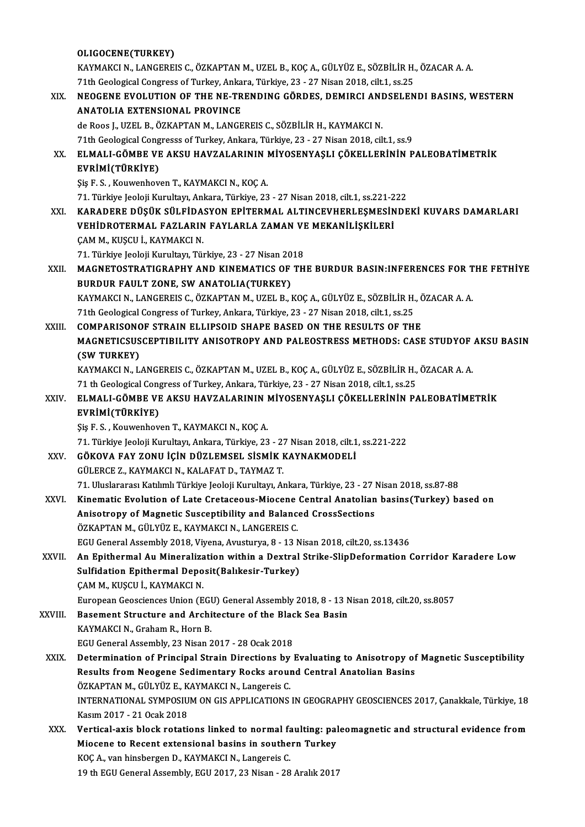## OLIGOCENE(TURKEY) OLIGOCENE(TURKEY)<br>KAYMAKCI N., LANGEREIS C., ÖZKAPTAN M., UZEL B., KOÇ A., GÜLYÜZ E., SÖZBİLİR H., ÖZACAR A. A.<br>71th Coologisel Cangress of Turkey, Arkara, Türkiye, 22, 27 Nisan 2019, silt 1, sə 25 OLIGOCENE(TURKEY)<br>KAYMAKCI N., LANGEREIS C., ÖZKAPTAN M., UZEL B., KOÇ A., GÜLYÜZ E., SÖZBİLİR H.<br>71th Geological Congress of Turkey, Ankara, Türkiye, 23 - 27 Nisan 2018, cilt.1, ss.25<br>NEOCENE EVOLUTION OF TUE NE TRENDINC XIX. NEOGENE EVOLUTION OF THE NE-TRENDING GÖRDES, DEMIRCI ANDSELENDI BASINS, WESTERN<br>ANATOLIA EXTENSIONAL PROVINCE 71th Geological Congress of Turkey, Ankara, Türkiye, 23 - 27 Nisan 2018, cilt.1, ss.25 de Roos J., UZEL B., ÖZKAPTAN M., LANGEREIS C., SÖZBİLİR H., KAYMAKCI N. ANATOLIA EXTENSIONAL PROVINCE<br>de Roos J., UZEL B., ÖZKAPTAN M., LANGEREIS C., SÖZBİLİR H., KAYMAKCI N.<br>71th Geological Congresss of Turkey, Ankara, Türkiye, 23 - 27 Nisan 2018, cilt.1, ss.9<br>ELMALL GÖMPE VE AKSU HAVZALAPINI de Roos J., UZEL B., ÖZKAPTAN M., LANGEREIS C., SÖZBİLİR H., KAYMAKCI N.<br>71th Geological Congresss of Turkey, Ankara, Türkiye, 23 - 27 Nisan 2018, cilt.1, ss.9<br>XX. ELMALI-GÖMBE VE AKSU HAVZALARININ MİYOSENYAŞLI ÇÖKELLE 71th Geological Cong<br>ELMALI-GÖMBE VE<br>EVRİMİ(TÜRKİYE)<br>Sis E.S. Kouvenbev ELMALI-GÖMBE VE AKSU HAVZALARININ I<br>EVRİMİ(TÜRKİYE)<br>Şiş F. S. , Kouwenhoven T., KAYMAKCI N., KOÇ A.<br>71. Türkiye Jealaji Kurultarı, Ankara, Türkiye, 22 EVRİMİ(TÜRKİYE)<br>Şiş F. S. , Kouwenhoven T., KAYMAKCI N., KOÇ A.<br>71. Türkiye Jeoloji Kurultayı, Ankara, Türkiye, 23 - 27 Nisan 2018, cilt.1, ss.221-222<br>KARADERE DÜSÜK SÜLEİDASYON ERİTERMAL ALTINCEVUERLESMESINDE Şiş F. S. , Kouwenhoven T., KAYMAKCI N., KOÇ A.<br>71. Türkiye Jeoloji Kurultayı, Ankara, Türkiye, 23 - 27 Nisan 2018, cilt.1, ss.221-222<br>XXI. KARADERE DÜŞÜK SÜLFİDASYON EPİTERMAL ALTINCEVHERLEŞMESİNDEKİ KUVARS DAMARLARI<br> 71. Türkiye Jeoloji Kurultayı, Ankara, Türkiye, 23 - 27 Nisan 2018, cilt.1, ss.221-2<br>KARADERE DÜŞÜK SÜLFİDASYON EPİTERMAL ALTINCEVHERLEŞMESİN<br>VEHİDROTERMAL FAZLARIN FAYLARLA ZAMAN VE MEKANİLİŞKİLERİ<br>CAMM KUSCU İ, KAYMAKÇI ÇAM M., KUŞCU İ., KAYMAKCI N. VEHİDROTERMAL FAZLARIN FAYLARLA ZAMAN VI<br>ÇAM M., KUŞCU İ., KAYMAKCI N.<br>71. Türkiye Jeoloji Kurultayı, Türkiye, 23 - 27 Nisan 2018<br>MACNETOSTRATICRARUY AND KINEMATICS OF TU CAM M., KUŞCU İ., KAYMAKCI N.<br>71. Türkiye Jeoloji Kurultayı, Türkiye, 23 - 27 Nisan 2018<br>XXII. MAGNETOSTRATIGRAPHY AND KINEMATICS OF THE BURDUR BASIN:INFERENCES FOR THE FETHİYE<br>RURDUR FAIU T.ZONE. SW. ANATOLIA(TURKEY) 71. Türkiye Jeoloji Kurultayı, Türkiye, 23 - 27 Nisan 20<br>MAGNETOSTRATIGRAPHY AND KINEMATICS OF<br>BURDUR FAULT ZONE, SW ANATOLIA(TURKEY)<br>KAYMAKÇI N. LANGEREIS G ÖZKARTAN M. UZEL B. 1 MAGNETOSTRATIGRAPHY AND KINEMATICS OF THE BURDUR BASIN:INFERENCES FOR T<br>BURDUR FAULT ZONE, SW ANATOLIA(TURKEY)<br>KAYMAKCI N., LANGEREIS C., ÖZKAPTAN M., UZEL B., KOÇ A., GÜLYÜZ E., SÖZBİLİR H., ÖZACAR A. A.<br>71th Coologiaal C BURDUR FAULT ZONE, SW ANATOLIA(TURKEY)<br>KAYMAKCI N., LANGEREIS C., ÖZKAPTAN M., UZEL B., KOÇ A., GÜLYÜZ E., SÖZBİLİR H., ÖZACAR A. A.<br>71th Geological Congress of Turkey, Ankara, Türkiye, 23 - 27 Nisan 2018, cilt.1, ss.25 KAYMAKCI N., LANGEREIS C., ÖZKAPTAN M., UZEL B., KOÇ A., GÜLYÜZ E., SÖZBİLİR H., Č<br>71th Geological Congress of Turkey, Ankara, Türkiye, 23 - 27 Nisan 2018, cilt.1, ss.25<br>XXIII. COMPARISONOF STRAIN ELLIPSOID SHAPE BASED MAGNETICSUSCEPTIBILITY ANISOTROPY AND PALEOSTRESS METHODS: CASE STUDYOF AKSU BASIN<br>(SW TURKEY) COMPARISON<mark>C</mark><br>MAGNETICSUS<br>(SW TURKEY)<br>KAYMAKCI N. L MAGNETICSUSCEPTIBILITY ANISOTROPY AND PALEOSTRESS METHODS: CASE STUDYOF .<br>(SW TURKEY)<br>KAYMAKCI N., LANGEREIS C., ÖZKAPTAN M., UZEL B., KOÇ A., GÜLYÜZ E., SÖZBİLİR H., ÖZACAR A. A.<br>71 th Ceological Congress of Turkov, Ankar (SW TURKEY)<br>KAYMAKCI N., LANGEREIS C., ÖZKAPTAN M., UZEL B., KOÇ A., GÜLYÜZ E., SÖZBİLİR H.,<br>71 th Geological Congress of Turkey, Ankara, Türkiye, 23 - 27 Nisan 2018, cilt.1, ss.25<br>ELMALL GÖMPE VE AKSU HAVZALARININ MİYOSEN KAYMAKCI N., LANGEREIS C., ÖZKAPTAN M., UZEL B., KOÇ A., GÜLYÜZ E., SÖZBİLİR H., ÖZACAR A. A.<br>71 th Geological Congress of Turkey, Ankara, Türkiye, 23 - 27 Nisan 2018, cilt.1, ss.25<br>XXIV. ELMALI-GÖMBE VE AKSU HAVZALARI 71 th Geological Congress of Turkey, Ankara, Türkiye, 23 - 27 Nisan 2018, cilt.1, ss.25<br>ELMALI-GÖMBE VE AKSU HAVZALARININ MİYOSENYAŞLI ÇÖKELLERİNİN P.<br>EVRİMİ(TÜRKİYE)<br>Sis F. S., Kouwenhoven T., KAYMAKCI N., KOC A. ELMALI-GÖMBE VE AKSU HAVZALARININ I<br>EVRİMİ(TÜRKİYE)<br>Şiş F. S. , Kouwenhoven T., KAYMAKCI N., KOÇ A.<br>71. Türkiye Jealaji Kurultarı, Ankara, Türkiye, 22 71.Türkiye JeolojiKurultayı,Ankara,Türkiye,23 -27Nisan2018, cilt.1, ss.221-222 Şiş F. S. , Kouwenhoven T., KAYMAKCI N., KOÇ A.<br>71. Türkiye Jeoloji Kurultayı, Ankara, Türkiye, 23 - 27 Nisan 2018, cilt.1<br>XXV. GÖKOVA FAY ZONU İÇİN DÜZLEMSEL SİSMİK KAYNAKMODELİ<br>CÜLEDCE 7. KAYMAKÇI N. KALAFAT D. TAYM 71. Türkiye Jeoloji Kurultayı, Ankara, Türkiye, 23 - 2?<br>GÖKOVA FAY ZONU İÇİN DÜZLEMSEL SİSMİK I<br>GÜLERCE Z., KAYMAKCI N., KALAFAT D., TAYMAZ T.<br>71. Uluslararası Katılımlı Türkiye Laslaji Kurultayı. A. 71.UluslararasıKatılımlıTürkiye JeolojiKurultayı,Ankara,Türkiye,23 -27Nisan2018, ss.87-88 GÜLERCE Z., KAYMAKCI N., KALAFAT D., TAYMAZ T.<br>71. Uluslararası Katılımlı Türkiye Jeoloji Kurultayı, Ankara, Türkiye, 23 - 27 Nisan 2018, ss.87-88<br>XXVI. Kinematic Evolution of Late Cretaceous-Miocene Central Anatolian 71. Uluslararası Katılımlı Türkiye Jeoloji Kurultayı, Ankara, Türkiye, 23 - 27 l<br>Kinematic Evolution of Late Cretaceous-Miocene Central Anatolian<br>Anisotropy of Magnetic Susceptibility and Balanced CrossSections<br>ÖZKAPTAN M. Kinematic Evolution of Late Cretaceous-Miocene<br>Anisotropy of Magnetic Susceptibility and Balance<br>ÖZKAPTAN M., GÜLYÜZ E., KAYMAKCI N., LANGEREIS C.<br>ECU Ceneral Assembly 2019, Vivene, Arusturya, 9, 13 N Anisotropy of Magnetic Susceptibility and Balanced CrossSections<br>ÖZKAPTAN M., GÜLYÜZ E., KAYMAKCI N., LANGEREIS C.<br>EGU General Assembly 2018, Viyena, Avusturya, 8 - 13 Nisan 2018, cilt.20, ss.13436<br>An Enithermal Au Mineral ÖZKAPTAN M., GÜLYÜZ E., KAYMAKCI N., LANGEREIS C.<br>EGU General Assembly 2018, Viyena, Avusturya, 8 - 13 Nisan 2018, cilt.20, ss.13436<br>XXVII. An Epithermal Au Mineralization within a Dextral Strike-SlipDeformation Corrid EGU General Assembly 2018, Viyena, Avusturya, 8 - 13 N<br>An Epithermal Au Mineralization within a Dextral<br>Sulfidation Epithermal Deposit(Balıkesir-Turkey)<br>CAMM, KUSCU İ, KAYMAKÇI N ÇAM M., KUŞCU İ., KAYMAKCI N. European Geosciences Union (EGU) General Assembly 2018, 8 - 13 Nisan 2018, cilt.20, ss.8057 XXVIII. Basement Structure and Architecture of the Black Sea Basin KAYMAKCI N., Graham R., Horn B. EGU General Assembly, 23 Nisan 2017 - 28 Ocak 2018 KAYMAKCI N., Graham R., Horn B.<br>EGU General Assembly, 23 Nisan 2017 - 28 Ocak 2018<br>XXIX. Determination of Principal Strain Directions by Evaluating to Anisotropy of Magnetic Susceptibility EGU General Assembly, 23 Nisan 2017 - 28 Ocak 2018<br>Determination of Principal Strain Directions by Evaluating to Anisotropy of<br>Results from Neogene Sedimentary Rocks around Central Anatolian Basins<br>ÖZKAPTAN M. CÜLYÜZ E. KA Determination of Principal Strain Directions by<br>Results from Neogene Sedimentary Rocks aroui<br>ÖZKAPTAN M., GÜLYÜZ E., KAYMAKCI N., Langereis C.<br>INTERNATIONAL SYMPOSUIM ON CIS ARRI ICATIONS Results from Neogene Sedimentary Rocks around Central Anatolian Basins<br>ÖZKAPTAN M., GÜLYÜZ E., KAYMAKCI N., Langereis C.<br>INTERNATIONAL SYMPOSIUM ON GIS APPLICATIONS IN GEOGRAPHY GEOSCIENCES 2017, Canakkale, Türkiye, 18 Kasım2017 -21Ocak2018 INTERNATIONAL SYMPOSIUM ON GIS APPLICATIONS IN GEOGRAPHY GEOSCIENCES 2017, Çanakkale, Türkiye, 18<br>Kasım 2017 - 21 Ocak 2018<br>XXX. Vertical-axis block rotations linked to normal faulting: paleomagnetic and structural evidenc Kasım 2017 - 21 Ocak 2018<br>Vertical-axis block rotations linked to normal faulting: pal<br>Miocene to Recent extensional basins in southern Turkey<br>KOC A, van binsbergen D, KAYMAKCLN, Langereis C Vertical-axis block rotations linked to normal fa<br>Miocene to Recent extensional basins in southe<br>KOÇ A., van hinsbergen D., KAYMAKCI N., Langereis C.<br>10 th ECU Conoral Assembly, ECU 2017, 22 Nison, 29 Miocene to Recent extensional basins in southern Turkey<br>KOÇ A., van hinsbergen D., KAYMAKCI N., Langereis C.<br>19 th EGU General Assembly, EGU 2017, 23 Nisan - 28 Aralık 2017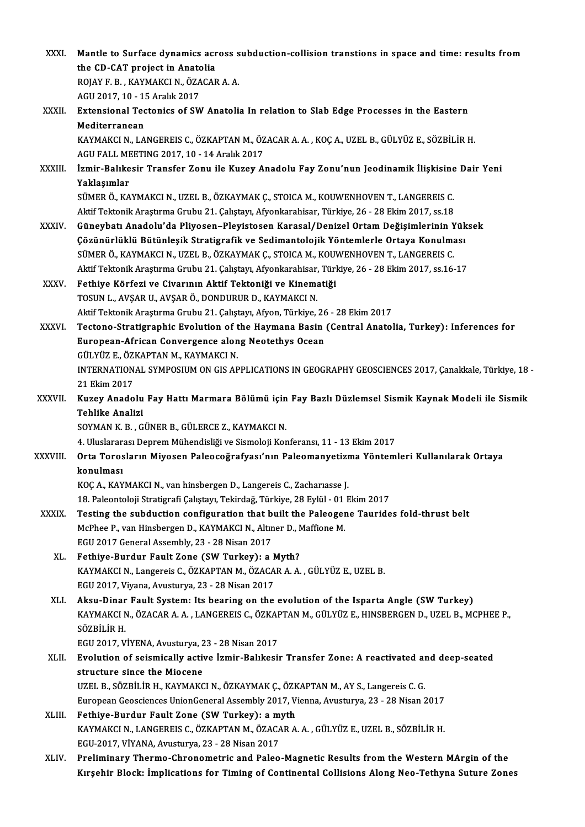| XXXI.         | Mantle to Surface dynamics across subduction-collision transtions in space and time: results from                          |
|---------------|----------------------------------------------------------------------------------------------------------------------------|
|               | the CD-CAT project in Anatolia                                                                                             |
|               | ROJAY F. B., KAYMAKCI N., ÖZACAR A. A.                                                                                     |
|               | AGU 2017, 10 - 15 Aralık 2017                                                                                              |
| XXXII.        | Extensional Tectonics of SW Anatolia In relation to Slab Edge Processes in the Eastern                                     |
|               | Mediterranean                                                                                                              |
|               | KAYMAKCI N., LANGEREIS C., ÖZKAPTAN M., ÖZACAR A. A., KOÇ A., UZEL B., GÜLYÜZ E., SÖZBİLİR H.                              |
|               | AGU FALL MEETING 2017, 10 - 14 Aralık 2017                                                                                 |
| <b>XXXIII</b> | İzmir-Balıkesir Transfer Zonu ile Kuzey Anadolu Fay Zonu'nun Jeodinamik İlişkisine Dair Yeni                               |
|               | Yaklaşımlar                                                                                                                |
|               | SÜMER Ö., KAYMAKCI N., UZEL B., ÖZKAYMAK Ç., STOICA M., KOUWENHOVEN T., LANGEREIS C.                                       |
|               | Aktif Tektonik Araştırma Grubu 21. Çalıştayı, Afyonkarahisar, Türkiye, 26 - 28 Ekim 2017, ss.18                            |
| <b>XXXIV</b>  | Güneybatı Anadolu'da Pliyosen-Pleyistosen Karasal/Denizel Ortam Değişimlerinin Yüksek                                      |
|               | Çözünürlüklü Bütünleşik Stratigrafik ve Sedimantolojik Yöntemlerle Ortaya Konulması                                        |
|               | SÜMER Ö., KAYMAKCI N., UZEL B., ÖZKAYMAK Ç., STOICA M., KOUWENHOVEN T., LANGEREIS C.                                       |
|               | Aktif Tektonik Araştırma Grubu 21. Çalıştayı, Afyonkarahisar, Türkiye, 26 - 28 Ekim 2017, ss.16-17                         |
| <b>XXXV</b>   | Fethiye Körfezi ve Civarının Aktif Tektoniği ve Kinematiği                                                                 |
|               | TOSUN L., AVŞAR U., AVŞAR Ö., DONDURUR D., KAYMAKCI N.                                                                     |
|               | Aktif Tektonik Araştırma Grubu 21. Çalıştayı, Afyon, Türkiye, 26 - 28 Ekim 2017                                            |
| <b>XXXVI</b>  | Tectono-Stratigraphic Evolution of the Haymana Basin (Central Anatolia, Turkey): Inferences for                            |
|               | European-African Convergence along Neotethys Ocean                                                                         |
|               | GÜLYÜZ E., ÖZKAPTAN M., KAYMAKCI N.                                                                                        |
|               | INTERNATIONAL SYMPOSIUM ON GIS APPLICATIONS IN GEOGRAPHY GEOSCIENCES 2017, Çanakkale, Türkiye, 18 -                        |
|               | 21 Ekim 2017                                                                                                               |
| <b>XXXVII</b> | Kuzey Anadolu Fay Hattı Marmara Bölümü için Fay Bazlı Düzlemsel Sismik Kaynak Modeli ile Sismik                            |
|               | <b>Tehlike Analizi</b>                                                                                                     |
|               | SOYMAN K. B., GÜNER B., GÜLERCE Z., KAYMAKCI N.                                                                            |
|               | 4. Uluslararası Deprem Mühendisliği ve Sismoloji Konferansı, 11 - 13 Ekim 2017                                             |
| XXXVIII.      | Orta Torosların Miyosen Paleocoğrafyası'nın Paleomanyetizma Yöntemleri Kullanılarak Ortaya                                 |
|               | konulması                                                                                                                  |
|               | KOÇ A., KAYMAKCI N., van hinsbergen D., Langereis C., Zachariasse J.                                                       |
|               | 18. Paleontoloji Stratigrafi Çalıştayı, Tekirdağ, Türkiye, 28 Eylül - 01 Ekim 2017                                         |
| <b>XXXIX</b>  | Testing the subduction configuration that built the Paleogene Taurides fold-thrust belt                                    |
|               | McPhee P., van Hinsbergen D., KAYMAKCI N., Altıner D., Maffione M.                                                         |
|               | EGU 2017 General Assembly, 23 - 28 Nisan 2017                                                                              |
| XL.           | Fethiye-Burdur Fault Zone (SW Turkey): a Myth?<br>KAYMAKCI N., Langereis C., ÖZKAPTAN M., ÖZACAR A. A., GÜLYÜZ E., UZEL B. |
|               | EGU 2017, Viyana, Avusturya, 23 - 28 Nisan 2017                                                                            |
| XLI.          | Aksu-Dinar Fault System: Its bearing on the evolution of the Isparta Angle (SW Turkey)                                     |
|               | KAYMAKCI N., ÖZACAR A. A., LANGEREIS C., ÖZKAPTAN M., GÜLYÜZ E., HINSBERGEN D., UZEL B., MCPHEE P.,                        |
|               | SÖZBİLİR H.                                                                                                                |
|               | EGU 2017, VİYENA, Avusturya, 23 - 28 Nisan 2017                                                                            |
| XLII.         | Evolution of seismically active Izmir-Balıkesir Transfer Zone: A reactivated and deep-seated                               |
|               | structure since the Miocene                                                                                                |
|               | UZEL B., SÖZBİLİR H., KAYMAKCI N., ÖZKAYMAK Ç., ÖZKAPTAN M., AY S., Langereis C. G.                                        |
|               | European Geosciences UnionGeneral Assembly 2017, Vienna, Avusturya, 23 - 28 Nisan 2017                                     |
| XLIII.        | Fethiye-Burdur Fault Zone (SW Turkey): a myth                                                                              |
|               | KAYMAKCI N., LANGEREIS C., ÖZKAPTAN M., ÖZACAR A. A., GÜLYÜZ E., UZEL B., SÖZBİLİR H.                                      |
|               | EGU-2017, VİYANA, Avusturya, 23 - 28 Nisan 2017                                                                            |
| XLIV.         | Preliminary Thermo-Chronometric and Paleo-Magnetic Results from the Western MArgin of the                                  |
|               | Kırşehir Block: İmplications for Timing of Continental Collisions Along Neo-Tethyna Suture Zones                           |
|               |                                                                                                                            |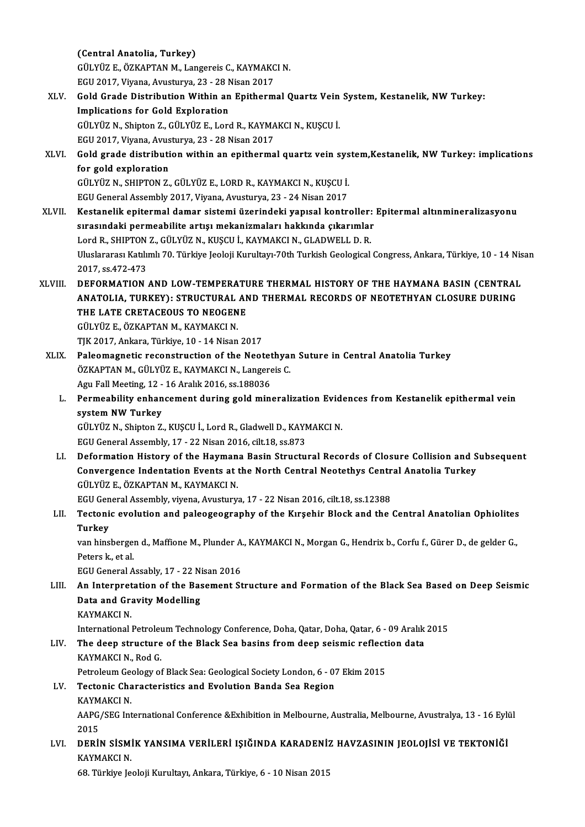(Central Anatolia, Turkey) GÜLYÜZ E.,ÖZKAPTANM.,LangereisC.,KAYMAKCIN. (Central Anatolia, Turkey)<br>GÜLYÜZ E., ÖZKAPTAN M., Langereis C., KAYMAKC<br>EGU 2017, Viyana, Avusturya, 23 - 28 Nisan 2017<br>Cold Crade Distribution Witbin en Enitherm XLV. Gold Grade Distribution Within an Epithermal Quartz Vein System, Kestanelik, NW Turkey:<br>Implications for Gold Exploration EGU 2017, Viyana, Avusturya, 23 - 28 N<br>Gold Grade Distribution Within an<br>Implications for Gold Exploration<br>C<sup>in Viiz</sup> N. Shinton Z. Cin Viiz E. Lors Gold Grade Distribution Within an Epithermal Quartz Vein<br>Implications for Gold Exploration<br>GÜLYÜZ N., Shipton Z., GÜLYÜZ E., Lord R., KAYMAKCI N., KUŞCU İ.<br>ECU 2017 Viyana Ayusturya 22, 28 Nisan 2017 Implications for Gold Exploration<br>GÜLYÜZ N., Shipton Z., GÜLYÜZ E., Lord R., KAYMA<br>EGU 2017, Viyana, Avusturya, 23 - 28 Nisan 2017<br>Cold grade distribution within an enitherma XLVI. Gold grade distribution within an epithermal quartz vein system,Kestanelik, NWTurkey: implications EGU 2017, Viyana, Avusturya, 23 - 28 Nisan 2017 Gold grade distribution within an epithermal quartz vein sys<br>for gold exploration<br>GÜLYÜZ N., SHIPTON Z., GÜLYÜZ E., LORD R., KAYMAKCI N., KUŞCU İ.<br>ECU Ceneral Assembly 2017, Viyana, Ayusturya, 22,, 24 Nisan 2017 for gold exploration<br>GÜLYÜZ N., SHIPTON Z., GÜLYÜZ E., LORD R., KAYMAKCI N., KUŞCU İ.<br>EGU General Assembly 2017, Viyana, Avusturya, 23 - 24 Nisan 2017<br>Kestanalik enitermal damar sistemi üzerindeki yanısal kentr GÜLYÜZ N., SHIPTON Z., GÜLYÜZ E., LORD R., KAYMAKCI N., KUŞCU İ.<br>EGU General Assembly 2017, Viyana, Avusturya, 23 - 24 Nisan 2017<br>XLVII. Kestanelik epitermal damar sistemi üzerindeki yapısal kontroller: Epitermal altın EGU General Assembly 2017, Viyana, Avusturya, 23 - 24 Nisan 2017<br>Kestanelik epitermal damar sistemi üzerindeki yapısal kontroller:<br>sırasındaki permeabilite artışı mekanizmaları hakkında çıkarımlar<br>Lard B. SHIPTON 7. CÜLYÜZ Kestanelik epitermal damar sistemi üzerindeki yapısal kontroller:<br>sırasındaki permeabilite artışı mekanizmaları hakkında çıkarımlar<br>Lord R., SHIPTON Z., GÜLYÜZ N., KUŞCU İ., KAYMAKCI N., GLADWELL D. R.<br>Uluslararesı Katılım sırasındaki permeabilite artışı mekanizmaları hakkında çıkarımlar<br>Lord R., SHIPTON Z., GÜLYÜZ N., KUŞCU İ., KAYMAKCI N., GLADWELL D. R.<br>Uluslararası Katılımlı 70. Türkiye Jeoloji Kurultayı-70th Turkish Geological Congress, Lord R., SHIPTON<br>Uluslararası Katılı<br>2017, ss.472-473<br>DEEOPMATION Uluslararası Katılımlı 70. Türkiye Jeoloji Kurultayı-70th Turkish Geological Congress, Ankara, Türkiye, 10 - 14 Nis<br>2017, ss.472-473<br>ANATOLIA TURKEY), STRUCTURAL AND THERMAL HISTORY OF THE HAYMANA BASIN (CENTRAL 2017, ss.472-473<br>DEFORMATION AND LOW-TEMPERATURE THERMAL HISTORY OF THE HAYMANA BASIN (CENTRAL<br>ANATOLIA, TURKEY): STRUCTURAL AND THERMAL RECORDS OF NEOTETHYAN CLOSURE DURING<br>THE LATE CRETACEOUS TO NEOCENE DEFORMATION AND LOW-TEMPERAT<mark>I</mark><br>ANATOLIA, TURKEY): STRUCTURAL AN<br>THE LATE CRETACEOUS TO NEOGENE ANATOLIA, TURKEY): STRUCTURAL AND THERMAL RECORDS OF NEOTETHYAN CLOSURE DURING<br>THE LATE CRETACEOUS TO NEOGENE<br>GÜLYÜZ E., ÖZKAPTAN M., KAYMAKCI N. TJK2017,Ankara,Türkiye,10 -14Nisan2017 XLIX. Paleomagnetic reconstruction of the Neotethyan Suture in Central Anatolia Turkey TJK 2017, Ankara, Türkiye, 10 - 14 Nisan 2017<br>Paleomagnetic reconstruction of the Neotethyal<br>ÖZKAPTAN M., GÜLYÜZ E., KAYMAKCI N., Langereis C.<br>Agu Fall Meeting 12 - 16 Aralık 2016, ss 199026 Paleomagnetic reconstruction of the Neotet<br>ÖZKAPTAN M., GÜLYÜZ E., KAYMAKCI N., Langere<br>Agu Fall Meeting, 12 - 16 Aralık 2016, ss.188036<br>Permeebility enhancement during geld min ÖZKAPTAN M., GÜLYÜZ E., KAYMAKCI N., Langereis C.<br>Agu Fall Meeting, 12 - 16 Aralık 2016, ss.188036<br>L. Permeability enhancement during gold mineralization Evidences from Kestanelik epithermal vein<br>system NW Turkey Agu Fall Meeting, 12 - 16 Aralık 2016, ss.188036<br>Permeability enhancement during gold mineralization Evide<br>system NW Turkey<br>GÜLYÜZ N., Shipton Z., KUSCU İ., Lord R., Gladwell D., KAYMAKCI N. Permeability enhancement during gold mineralization Evide<br>system NW Turkey<br>GÜLYÜZ N., Shipton Z., KUŞCU İ., Lord R., Gladwell D., KAYMAKCI N.<br>ECU Ceneral Assembly, 17, 22 Nisan 2016, silt 19, ss 972 EGU General Assembly, 17 - 22 Nisan 2016, cilt.18, ss.873 GÜLYÜZ N., Shipton Z., KUŞCU İ., Lord R., Gladwell D., KAYMAKCI N.<br>EGU General Assembly, 17 - 22 Nisan 2016, cilt.18, ss.873<br>LI. Deformation History of the Haymana Basin Structural Records of Closure Collision and Subs EGU General Assembly, 17 - 22 Nisan 2016, cilt.18, ss.873<br>Deformation History of the Haymana Basin Structural Records of Closure Collision and S<br>Convergence Indentation Events at the North Central Neotethys Central Anatoli Deformation History of the Hayman<br>Convergence Indentation Events at the<br>GÜLYÜZ E., ÖZKAPTAN M., KAYMAKCI N.<br>ECU Conoral Assembly vivone Ayustury Convergence Indentation Events at the North Central Neotethys Centr<br>GÜLYÜZ E., ÖZKAPTAN M., KAYMAKCI N.<br>EGU General Assembly, viyena, Avusturya, 17 - 22 Nisan 2016, cilt.18, ss.12388<br>Testonis evolution and peloggeography o GÜLYÜZ E., ÖZKAPTAN M., KAYMAKCI N.<br>EGU General Assembly, viyena, Avusturya, 17 - 22 Nisan 2016, cilt.18, ss.12388<br>LII. Tectonic evolution and paleogeography of the Kırşehir Block and the Central Anatolian Ophiolites<br>T EGU Gen<br><mark>Tectoni</mark><br>Turkey<br>var bins Tectonic evolution and paleogeography of the Kırşehir Block and the Central Anatolian Ophiolites<br>Turkey<br>van hinsbergen d., Maffione M., Plunder A., KAYMAKCI N., Morgan G., Hendrix b., Corfu f., Gürer D., de gelder G.,<br>Pete Turkey<br>van hinsberge:<br>Peters k., et al.<br>ECU Coneral A van hinsbergen d., Maffione M., Plunder A.<br>Peters k., et al.<br>EGU General Assably, 17 - 22 Nisan 2016<br>An Internretation of the Basement St Peters k., et al.<br>EGU General Assably, 17 - 22 Nisan 2016<br>LIII. An Interpretation of the Basement Structure and Formation of the Black Sea Based on Deep Seismic<br>Data and Cravity Modelling EGU General Assably, 17 - 22 Ni<br>An Interpretation of the Bas<br>Data and Gravity Modelling<br>KAYMAKCI N An Interpret<br>Data and Gr:<br>KAYMAKCI N.<br>International Data and Gravity Modelling<br>International<br>International Petroleum Technology Conference, Doha, Qatar, Doha, Qatar, 6 - 09 Aralık 2015 KAYMAKCI N.<br>International Petroleum Technology Conference, Doha, Qatar, Doha, Qatar, 6 - 09 Aralık<br>LIV. The deep structure of the Black Sea basins from deep seismic reflection data<br>KAYMAKCI N. Bed G International Petrolet<br>The deep structure<br>KAYMAKCI N., Rod G.<br>Petroleum Ceelery of The deep structure of the Black Sea basins from deep seismic reflect<br>KAYMAKCI N., Rod G.<br>Petroleum Geology of Black Sea: Geological Society London, 6 - 07 Ekim 2015<br>Testonis Characteristies and Evolution Banda Sea Basian KAYMAKCI N., Rod G.<br>Petroleum Geology of Black Sea: Geological Society London, 6 - 07<br>LV. Tectonic Characteristics and Evolution Banda Sea Region<br>KAYMAKCI N Petroleum Gee<br>Tectonic Cha<br>KAYMAKCI N.<br>AARC/SEC Int Tectonic Characteristics and Evolution Banda Sea Region<br>KAYMAKCI N.<br>AAPG/SEG International Conference &Exhibition in Melbourne, Australia, Melbourne, Avustralya, 13 - 16 Eylül<br>2015 KAYM<br>AAPG,<br>2015<br>DEBU AAPG/SEG International Conference &Exhibition in Melbourne, Australia, Melbourne, Avustralya, 13 - 16 Eyli<br>2015<br>LVI. DERİN SİSMİK YANSIMA VERİLERİ IŞIĞINDA KARADENİZ HAVZASININ JEOLOJİSİ VE TEKTONİĞİ 2015<br>D<mark>ERİN SİSM</mark>İ<br>KAYMAKCI N. DERİN SİSMİK YANSIMA VERİLERİ IŞIĞINDA KARADENİ:<br>KAYMAKCI N.<br>68. Türkiye Jeoloji Kurultayı, Ankara, Türkiye, 6 - 10 Nisan 2015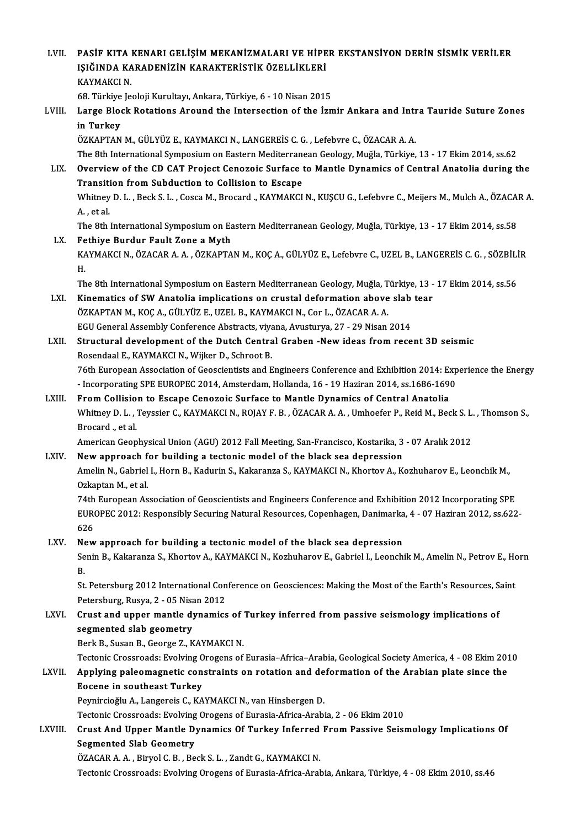LVII. PASİF KITA KENARI GELİŞİM MEKANİZMALARI VE HİPER EKSTANSİYON DERİN SİSMİK VERİLER<br>ISIĞINDA KARADENIZIN KARAKTERİSTIK ÖZELLİKLERİ PASİF KITA KENARI GELİŞİM MEKANİZMALARI VE HİPE<br>IŞIĞINDA KARADENİZİN KARAKTERİSTİK ÖZELLİKLERİ<br>KAYMAKÇI N PASİF KITA<br>IŞIĞINDA KA<br>KAYMAKCI N. IŞIĞINDA KARADENİZİN KARAKTERİSTİK ÖZELLİKLERİ<br>KAYMAKCI N.<br>68. Türkiye Jeoloji Kurultayı, Ankara, Türkiye, 6 - 10 Nisan 2015<br>Larga Blask Ratations Araund the Intersestion of the İsr KAYMAKCI N.<br>68. Türkiye Jeoloji Kurultayı, Ankara, Türkiye, 6 - 10 Nisan 2015<br>LVIII. Large Block Rotations Around the Intersection of the İzmir Ankara and Intra Tauride Suture Zones<br>in Turkey 68. Türkiye<br>Large Bloom<br>in Turkey<br>ÖZKAPTAN ÖZKAPTAN M., GÜLYÜZ E., KAYMAKCI N., LANGEREİS C. G., Lefebvre C., ÖZACAR A. A. The 8th International Symposium on Eastern Mediterranean Geology, Muğla, Türkiye, 13 - 17 Ekim 2014, ss.62 ÖZKAPTAN M., GÜLYÜZ E., KAYMAKCI N., LANGEREİS C. G. , Lefebvre C., ÖZACAR A. A.<br>The 8th International Symposium on Eastern Mediterranean Geology, Muğla, Türkiye, 13 - 17 Ekim 2014, ss.62<br>LIX. Overview of the CD CAT Pr The 8th International Symposium on Eastern Mediterrane<br>Overview of the CD CAT Project Cenozoic Surface to<br>Transition from Subduction to Collision to Escape<br>Whitney D.J., Bock S.J., Cosca M. Brocard, KAYMAKCI Overview of the CD CAT Project Cenozoic Surface to Mantle Dynamics of Central Anatolia during the<br>Transition from Subduction to Collision to Escape<br>Whitney D. L. , Beck S. L. , Cosca M., Brocard ., KAYMAKCI N., KUŞCU G., L Transiti<br>Whitney<br>A. , et al.<br>The 9th Whitney D. L. , Beck S. L. , Cosca M., Brocard ., KAYMAKCI N., KUŞCU G., Lefebvre C., Meijers M., Mulch A., ÖZACA<br>A. , et al.<br>The 8th International Symposium on Eastern Mediterranean Geology, Muğla, Türkiye, 13 - 17 Ekim 2 A. , et al.<br>The 8th International Symposium on Eastern Mediterranean Geology, Muğla, Türkiye, 13 - 17 Ekim 2014, ss.58<br>LX. Fethiye Burdur Fault Zone a Myth The 8th International Symposium on Eastern Mediterranean Geology, Muğla, Türkiye, 13 - 17 Ekim 2014, ss.58<br>Fethiye Burdur Fault Zone a Myth<br>KAYMAKCI N., ÖZACAR A. A. , ÖZKAPTAN M., KOÇ A., GÜLYÜZ E., Lefebvre C., UZEL B., Fe<br>KA<br>H. KAYMAKCI N., ÖZACAR A. A. , ÖZKAPTAN M., KOÇ A., GÜLYÜZ E., Lefebvre C., UZEL B., LANGEREİS C. G. , SÖZBİLİ<br>H.<br>The 8th International Symposium on Eastern Mediterranean Geology, Muğla, Türkiye, 13 - 17 Ekim 2014, ss.56<br>Kino H.<br>The 8th International Symposium on Eastern Mediterranean Geology, Muğla, Türkiye, 13 -<br>LXI. Kinematics of SW Anatolia implications on crustal deformation above slab tear<br>ÖZKAPTAN M. KOC A. CÜLVÜZ E. UZEL B. KAYMAKCLN, C The 8th International Symposium on Eastern Mediterranean Geology, Muğla, T<br>Kinematics of SW Anatolia implications on crustal deformation above<br>ÖZKAPTAN M., KOÇ A., GÜLYÜZ E., UZEL B., KAYMAKCI N., Cor L., ÖZACAR A. A.<br>ECU Kinematics of SW Anatolia implications on crustal deformation above slab<br>ÖZKAPTAN M., KOÇ A., GÜLYÜZ E., UZEL B., KAYMAKCI N., Cor L., ÖZACAR A. A.<br>EGU General Assembly Conference Abstracts, viyana, Avusturya, 27 - 29 Nisa ÖZKAPTAN M., KOÇ A., GÜLYÜZ E., UZEL B., KAYMAKCI N., Cor L., ÖZACAR A. A.<br>EGU General Assembly Conference Abstracts, viyana, Avusturya, 27 - 29 Nisan 2014<br>LXII. Structural development of the Dutch Central Graben -New idea EGU General Assembly Conference Abstracts, viya<br>Structural development of the Dutch Centra<br>Rosendaal E., KAYMAKCI N., Wijker D., Schroot B.<br>76th European Association of Cooscientists and E Structural development of the Dutch Central Graben -New ideas from recent 3D seismic<br>Rosendaal E., KAYMAKCI N., Wijker D., Schroot B.<br>76th European Association of Geoscientists and Engineers Conference and Exhibition 2014: Rosendaal E., KAYMAKCI N., Wijker D., Schroot B.<br>76th European Association of Geoscientists and Engineers Conference and Exhibition 2014: Exp<br>- Incorporating SPE EUROPEC 2014, Amsterdam, Hollanda, 16 - 19 Haziran 2014, ss. Incorporating SPE EUROPEC 2014, Amsterdam, Hollanda, 16 - 19 Haziran 2014, ss.1686-1690<br>LXIII. From Collision to Escape Cenozoic Surface to Mantle Dynamics of Central Anatolia - Incorporating SPE EUROPEC 2014, Amsterdam, Hollanda, 16 - 19 Haziran 2014, ss.1686-1690<br>From Collision to Escape Cenozoic Surface to Mantle Dynamics of Central Anatolia<br>Whitney D. L. , Teyssier C., KAYMAKCI N., ROJAY F. From Collision to Escape Cenozoic Surface to Mantle Dynamics of Central Anatolia<br>Whitney D. L., Teyssier C., KAYMAKCI N., ROJAY F. B., ÖZACAR A. A., Umhoefer P., Reid M., Bec<br>Brocard ., et al. Whitney D. L. , Teyssier C., KAYMAKCI N., ROJAY F. B. , ÖZACAR A. A. , Umhoefer P., Reid M., Beck S. L.<br>Brocard ., et al.<br>American Geophysical Union (AGU) 2012 Fall Meeting, San-Francisco, Kostarika, 3 - 07 Aralık 2012<br>Nav American Geophysical Union (AGU) 2012 Fall Meeting, San-Francisco, Kostarika, 3 - 07 Aralık 2012<br>LXIV. New approach for building a tectonic model of the black sea depression Amelin N., Gabriel I., Horn B., Kadurin S., Kakaranza S., KAYMAKCI N., Khortov A., Kozhuharov E., Leonchik M.,<br>Ozkaptan M., et al. New approach for building a tectonic model of the black sea depression Amelin N., Gabriel I., Horn B., Kadurin S., Kakaranza S., KAYMAKCI N., Khortov A., Kozhuharov E., Leonchik M.,<br>Ozkaptan M., et al.<br>74th European Association of Geoscientists and Engineers Conference and Exhibition 2012 Inc Ozkaptan M., et al.<br>74th European Association of Geoscientists and Engineers Conference and Exhibition 2012 Incorporating SPE<br>EUROPEC 2012: Responsibly Securing Natural Resources, Copenhagen, Danimarka, 4 - 07 Haziran 2012 74th<br>EUR<br>626<br>Nov EUROPEC 2012: Responsibly Securing Natural Resources, Copenhagen, Danimarka, 4 - 07 Haziran 2012, ss.622-626<br>LXV. New approach for building a tectonic model of the black sea depression

Senin B., Kakaranza S., Khortov A., KAYMAKCI N., Kozhuharov E., Gabriel I., Leonchik M., Amelin N., Petrov E., Horn<br>R. Ne<br>Se<br>B. Senin B., Kakaranza S., Khortov A., KAYMAKCI N., Kozhuharov E., Gabriel I., Leonchik M., Amelin N., Petrov E., Ho<br>B.<br>St. Petersburg 2012 International Conference on Geosciences: Making the Most of the Earth's Resources, Sa

B.<br>St. Petersburg 2012 International Con<br>Petersburg, Rusya, 2 - 05 Nisan 2012<br>Crust and unner mantle dunamics St. Petersburg 2012 International Conference on Geosciences: Making the Most of the Earth's Resources, S.<br>Petersburg, Rusya, 2 - 05 Nisan 2012<br>LXVI. Crust and upper mantle dynamics of Turkey inferred from passive seismolog

# Petersburg, Rusya, 2 - 05 Nisan 2012<br>Crust and upper mantle dynamics of Turkey inferred from passive seismology implications of<br>segmented slab geometry

Berk B., Susan B., George Z., KAYMAKCI N.

Tectonic Crossroads: Evolving Orogens of Eurasia–Africa–Arabia, Geological Society America, 4 - 08 Ekim 2010

## Berk B., Susan B., George Z., KAYMAKCI N.<br>Tectonic Crossroads: Evolving Orogens of Eurasia–Africa–Arabia, Geological Society America, 4 - 08 Ekim 201<br>LXVII. Applying paleomagnetic constraints on rotation and deformation of Tectonic Crossroads: Evolving O<br>Applying paleomagnetic con<br>Eocene in southeast Turkey<br>Permirgicălu A Jangereis C. KA Applying paleomagnetic constraints on rotation and de<br>Eocene in southeast Turkey<br>Peynircioğlu A., Langereis C., KAYMAKCI N., van Hinsbergen D.<br>Testonis Crossroode: Evolving Orogans of Eurosia Africe Arabi Eocene in southeast Turkey<br>Peynircioğlu A., Langereis C., KAYMAKCI N., van Hinsbergen D.<br>Tectonic Crossroads: Evolving Orogens of Eurasia-Africa-Arabia, 2 - 06 Ekim 2010

## Peynircioğlu A., Langereis C., KAYMAKCI N., van Hinsbergen D.<br>Tectonic Crossroads: Evolving Orogens of Eurasia-Africa-Arabia, 2 - 06 Ekim 2010<br>LXVIII. Crust And Upper Mantle Dynamics Of Turkey Inferred From Passive Seismol Tectonic Crossroads: Evolving<br>Crust And Upper Mantle D<br>Segmented Slab Geometry<br>ÖZACAR A A Birvel C B Be Crust And Upper Mantle Dynamics Of Turkey Inferred<br>Segmented Slab Geometry<br>ÖZACAR A.A., Biryol C.B., Beck S.L., Zandt G., KAYMAKCI N.<br>Testonis Crossreade: Evoluing Orogons of Eurosia Africa Arab Segmented Slab Geometry<br>ÖZACAR A. A. , Biryol C. B. , Beck S. L. , Zandt G., KAYMAKCI N.<br>Tectonic Crossroads: Evolving Orogens of Eurasia-Africa-Arabia, Ankara, Türkiye, 4 - 08 Ekim 2010, ss.46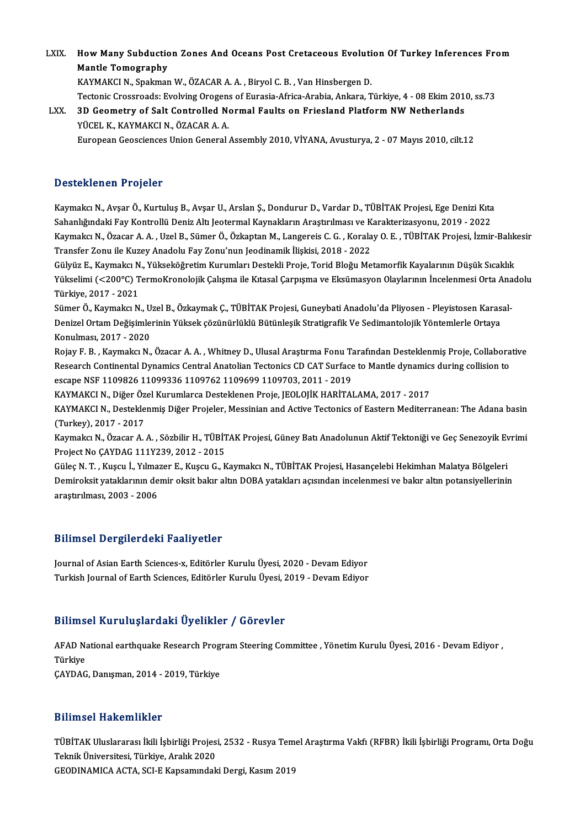LXIX. How Many Subduction Zones And Oceans Post Cretaceous Evolution Of Turkey Inferences From<br>Mantle Temesranhy How Many Subduction<br>Mantle Tomography<br>KAVMAKCLN, Spelmar Mantle Tomography<br>KAYMAKCI N., Spakman W., ÖZACAR A. A. , Biryol C. B. , Van Hinsbergen D.

Mantle Tomography<br>KAYMAKCI N., Spakman W., ÖZACAR A. A. , Biryol C. B. , Van Hinsbergen D.<br>Tectonic Crossroads: Evolving Orogens of Eurasia-Africa-Arabia, Ankara, Türkiye, 4 - 08 Ekim 2010, ss.73<br>2D Ceametry of Salt Cantro

LXX. 3D Geometry of Salt Controlled Normal Faults on Friesland Platform NW Netherlands<br>YÜCEL K., KAYMAKCI N., ÖZACAR A. A. Tectonic Crossroads: Evolving Orogens<br>3D Geometry of Salt Controlled No<br>YÜCEL K., KAYMAKCI N., ÖZACAR A. A.<br>European Coossianses Union Coneral European Geosciences Union General Assembly 2010, VİYANA, Avusturya, 2 - 07 Mayıs 2010, cilt.12

### Desteklenen Projeler

<mark>Desteklenen Projeler</mark><br>Kaymakcı N., Avşar Ö., Kurtuluş B., Avşar U., Arslan Ş., Dondurur D., Vardar D., TÜBİTAK Projesi, Ege Denizi Kıta<br>Sahanlığındeki Fev Kontrellü Deniz Altı Jestermel Keymeklerın Arastırılması ve Karekt S SSSSANSASA Y YUJSISI<br>Kaymakcı N., Avşar Ö., Kurtuluş B., Avşar U., Arslan Ş., Dondurur D., Vardar D., TÜBİTAK Projesi, Ege Denizi Kıta<br>Sahanlığındaki Fay Kontrollü Deniz Altı Jeotermal Kaynakların Araştırılması ve Karakt Kaymakcı N., Avşar Ö., Kurtuluş B., Avşar U., Arslan Ş., Dondurur D., Vardar D., TÜBİTAK Projesi, Ege Denizi Kıta<br>Sahanlığındaki Fay Kontrollü Deniz Altı Jeotermal Kaynakların Araştırılması ve Karakterizasyonu, 2019 - 2022 Sahanlığındaki Fay Kontrollü Deniz Altı Jeotermal Kaynakların Araştırılması ve K<br>Kaymakcı N., Özacar A. A. , Uzel B., Sümer Ö., Özkaptan M., Langereis C. G. , Korala<br>Transfer Zonu ile Kuzey Anadolu Fay Zonu'nun Jeodinamik Kaymakcı N., Özacar A. A. , Uzel B., Sümer Ö., Özkaptan M., Langereis C. G. , Koralay O. E. , TÜBİTAK Projesi, İzmir-Balık<br>Transfer Zonu ile Kuzey Anadolu Fay Zonu'nun Jeodinamik İlişkisi, 2018 - 2022<br>Gülyüz E., Kaymakcı N

Transfer Zonu ile Kuzey Anadolu Fay Zonu'nun Jeodinamik İlişkisi, 2018 - 2022<br>Gülyüz E., Kaymakcı N., Yükseköğretim Kurumları Destekli Proje, Torid Bloğu Metamorfik Kayalarının Düşük Sıcaklık<br>Yükselimi (<200°C) TermoKronol Gülyüz E., Kaymakcı N<br>Yükselimi (<200°C) T<br>Türkiye, 2017 - 2021<br>Sümor Ö. Koymaka N Yükselimi (<200°C) TermoKronolojik Çalışma ile Kıtasal Çarpışma ve Eksümasyon Olaylarının İncelenmesi Orta Ana<br>Türkiye, 2017 - 2021<br>Sümer Ö., Kaymakcı N., Uzel B., Özkaymak Ç., TÜBİTAK Projesi, Guneybati Anadolu'da Pliyose

Türkiye, 2017 - 2021<br>Sümer Ö., Kaymakcı N., Uzel B., Özkaymak Ç., TÜBİTAK Projesi, Guneybati Anadolu'da Pliyosen - Pleyistosen Karas<br>Denizel Ortam Değişimlerinin Yüksek çözünürlüklü Bütünleşik Stratigrafik Ve Sedimantoloji Sümer Ö., Kaymakcı N., U<br>Denizel Ortam Değişimle<br>Konulması, 2017 - 2020<br>Poiau E. B. Kaymakçı N Denizel Ortam Değişimlerinin Yüksek çözünürlüklü Bütünleşik Stratigrafik Ve Sedimantolojik Yöntemlerle Ortaya<br>Konulması, 2017 - 2020<br>Rojay F. B. , Kaymakcı N., Özacar A. A. , Whitney D., Ulusal Araştırma Fonu Tarafından De

Konulması, 2017 - 2020<br>Rojay F. B. , Kaymakcı N., Özacar A. A. , Whitney D., Ulusal Araştırma Fonu Tarafından Desteklenmiş Proje, Collabora<br>Research Continental Dynamics Central Anatolian Tectonics CD CAT Surface to Mantle Rojay F. B. , Kaymakcı N., Özacar A. A. , Whitney D., Ulusal Araştırma Fonu T.<br>Research Continental Dynamics Central Anatolian Tectonics CD CAT Surface<br>escape NSF 1109826 11099336 1109762 1109699 1109703, 2011 - 2019<br>KAYMA Research Continental Dynamics Central Anatolian Tectonics CD CAT Surface to Mantle dynamics<br>escape NSF 1109826 11099336 1109762 1109699 1109703, 2011 - 2019<br>KAYMAKCI N., Diğer Özel Kurumlarca Desteklenen Proje, JEOLOJİK HA

escape NSF 1109826 11099336 1109762 1109699 1109703, 2011 - 2019<br>KAYMAKCI N., Diğer Özel Kurumlarca Desteklenen Proje, JEOLOJİK HARİTALAMA, 2017 - 2017<br>KAYMAKCI N., Desteklenmiş Diğer Projeler, Messinian and Active Tectoni KAYMAKCI N., Diğer Öz<br>KAYMAKCI N., Destekle<br>(Turkey), 2017 - 2017<br>Kaymaka N., Özasar A KAYMAKCI N., Desteklenmiş Diğer Projeler, Messinian and Active Tectonics of Eastern Mediterranean: The Adana basin<br>(Turkey), 2017 - 2017<br>Kaymakcı N., Özacar A. A. , Sözbilir H., TÜBİTAK Projesi, Güney Batı Anadolunun Aktif

(Turkey), 2017 - 2017<br>Kaymakcı N., Özacar A. A. , Sözbilir H., TÜBİTAK Projesi, Güney Batı Anadolunun Aktif Tektoniği ve Geç Senezoyik Evrimi<br>Project No ÇAYDAG 111Y239, 2012 - 2015 Kaymakcı N., Özacar A. A. , Sözbilir H., TÜBİTAK Projesi, Güney Batı Anadolunun Aktif Tektoniği ve Geç Senezoyik Ev<br>Project No ÇAYDAG 111Y239, 2012 - 2015<br>Güleç N. T. , Kuşcu İ., Yılmazer E., Kuşcu G., Kaymakcı N., TÜBİTAK

Project No ÇAYDAG 111Y239, 2012 - 2015<br>Güleç N. T. , Kuşcu İ., Yılmazer E., Kuşcu G., Kaymakcı N., TÜBİTAK Projesi, Hasançelebi Hekimhan Malatya Bölgeleri<br>Demiroksit yataklarının demir oksit bakır altın DOBA yatakları açıs Güleç N. T. , Kuşcu İ., Yılma:<br>Demiroksit yataklarının de<br>araştırılması, 2003 - 2006

# araştırılması, 2003 - 2006<br>Bilimsel Dergilerdeki Faaliyetler

Bilimsel Dergilerdeki Faaliyetler<br>Journal of Asian Earth Sciences-x, Editörler Kurulu Üyesi, 2020 - Devam Ediyor<br>Turkish Journal of Farth Sciences, Editörler Kurulu Üyesi, 2019 - Devam Ediyor Dirimoor Dorgiror dom Fadriy oeror<br>Journal of Asian Earth Sciences-x, Editörler Kurulu Üyesi, 2020 - Devam Ediyor<br>Turkish Journal of Earth Sciences, Editörler Kurulu Üyesi, 2019 - Devam Ediyor Turkish Journal of Earth Sciences, Editörler Kurulu Üyesi, 2019 - Devam Ediyor<br>Bilimsel Kuruluslardaki Üyelikler / Görevler

Bilimsel Kuruluşlardaki Üyelikler / Görevler<br>AFAD National earthquake Research Program Steering Committee , Yönetim Kurulu Üyesi, 2016 - Devam Ediyor ,<br>Türkiye DTHING<br>AFAD Na<br>Türkiye<br>CAYDAC AFAD National earthquake Research Prog<br>Türkiye<br>ÇAYDAG, Danışman, 2014 - 2019, Türkiye ÇAYDAG, Danışman, 2014 - 2019, Türkiye<br>Bilimsel Hakemlikler

Bilimsel Hakemlikler<br>TÜBİTAK Uluslararası İkili İşbirliği Projesi, 2532 - Rusya Temel Araştırma Vakfı (RFBR) İkili İşbirliği Programı, Orta Doğu<br>Teknik Üniversitesi Türkiye, Aralık 2020 Teknik Üniversitesi, Türkiye, Aralık 2020<br>GEODINAMICA ACTA, SCI-E Kapsamındaki Dergi, Kasım 2019 TÜBİTAK Uluslararası İkili İşbirliği Projesi, 2532 - Rusya Tem<br>Teknik Üniversitesi, Türkiye, Aralık 2020<br>GEODINAMICA ACTA, SCI-E Kapsamındaki Dergi, Kasım 2019